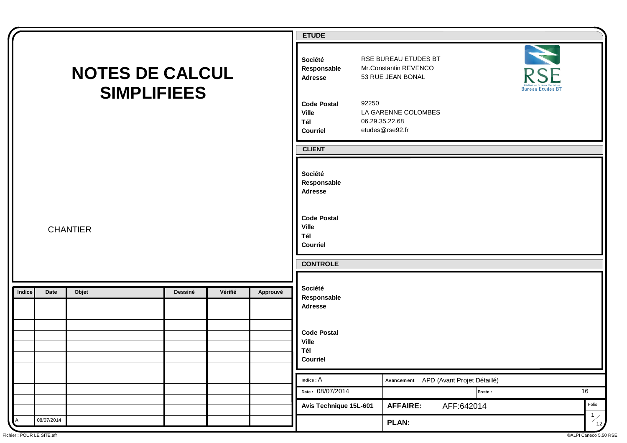|                                                           | <b>ETUDE</b>                                                                                                                                     |
|-----------------------------------------------------------|--------------------------------------------------------------------------------------------------------------------------------------------------|
| <b>NOTES DE CALCUL</b><br><b>SIMPLIFIEES</b>              | RSE BUREAU ETUDES BT<br>Société<br>Mr.Constantin REVENCO<br>Responsable<br><b>RSE</b><br>53 RUE JEAN BONAL<br>Adresse<br><b>Bureau Etudes BT</b> |
|                                                           | 92250<br><b>Code Postal</b><br>LA GARENNE COLOMBES<br><b>Ville</b><br>06.29.35.22.68<br>Tél<br>etudes@rse92.fr<br>Courriel                       |
|                                                           | <b>CLIENT</b>                                                                                                                                    |
|                                                           | Société<br>Responsable<br><b>Adresse</b>                                                                                                         |
| <b>CHANTIER</b>                                           | <b>Code Postal</b><br><b>Ville</b><br>Tél<br>Courriel                                                                                            |
|                                                           | <b>CONTROLE</b>                                                                                                                                  |
|                                                           | Société                                                                                                                                          |
| Vérifié<br>Date<br>Objet<br>Dessiné<br>Approuvé<br>Indice | Responsable<br>Adresse                                                                                                                           |
|                                                           | <b>Code Postal</b><br><b>Ville</b><br>Tél<br>Courriel                                                                                            |
|                                                           | $\mathsf{Indice} : \mathsf{A}$<br>Avancement APD (Avant Projet Détaillé)                                                                         |
|                                                           | Date: 08/07/2014<br>16<br>Poste:                                                                                                                 |
|                                                           | Folio<br>Avis Technique 15L-601<br><b>AFFAIRE:</b><br>AFF:642014                                                                                 |
| 08/07/2014<br>Α                                           | $\frac{1}{12}$<br><b>PLAN:</b>                                                                                                                   |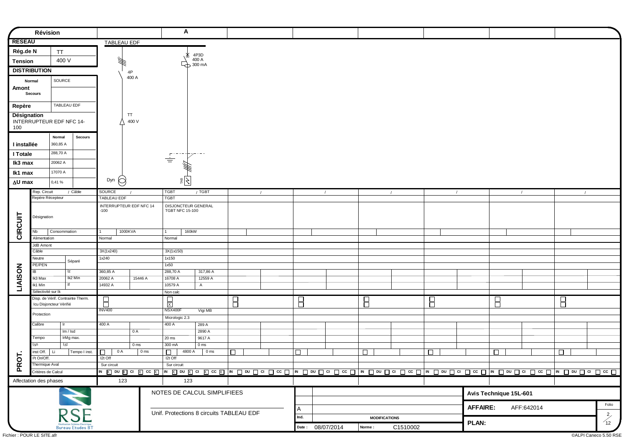|               |                                          |                                   |                                                  |                                   |                 |                 | A                                             |                                          |        |        |                  |                      |                      |                |                 |                        |            |             |                                         |
|---------------|------------------------------------------|-----------------------------------|--------------------------------------------------|-----------------------------------|-----------------|-----------------|-----------------------------------------------|------------------------------------------|--------|--------|------------------|----------------------|----------------------|----------------|-----------------|------------------------|------------|-------------|-----------------------------------------|
|               | Révision                                 |                                   |                                                  |                                   |                 |                 |                                               |                                          |        |        |                  |                      |                      |                |                 |                        |            |             |                                         |
| <b>RESEAU</b> |                                          |                                   |                                                  | <b>TABLEAU EDF</b>                |                 |                 |                                               |                                          |        |        |                  |                      |                      |                |                 |                        |            |             |                                         |
| Rég.de N      |                                          | TT                                |                                                  |                                   |                 |                 |                                               | 4P3D                                     |        |        |                  |                      |                      |                |                 |                        |            |             |                                         |
| Tension       |                                          | 400 V                             |                                                  | ₩                                 |                 |                 | ΔŁ,                                           | 400 A                                    |        |        |                  |                      |                      |                |                 |                        |            |             |                                         |
|               | <b>DISTRIBUTION</b>                      |                                   |                                                  |                                   |                 |                 |                                               | $\overline{\bigoplus}$ 300 mA            |        |        |                  |                      |                      |                |                 |                        |            |             |                                         |
|               |                                          |                                   |                                                  |                                   | 4P<br>400 A     |                 |                                               |                                          |        |        |                  |                      |                      |                |                 |                        |            |             |                                         |
|               | Normal                                   | SOURCE                            |                                                  |                                   |                 |                 |                                               |                                          |        |        |                  |                      |                      |                |                 |                        |            |             |                                         |
| Amont         | <b>Secours</b>                           |                                   |                                                  |                                   |                 |                 |                                               |                                          |        |        |                  |                      |                      |                |                 |                        |            |             |                                         |
|               |                                          |                                   |                                                  |                                   |                 |                 |                                               |                                          |        |        |                  |                      |                      |                |                 |                        |            |             |                                         |
| Repère        |                                          | TABLEAU EDF                       |                                                  |                                   |                 |                 |                                               |                                          |        |        |                  |                      |                      |                |                 |                        |            |             |                                         |
| Désignation   |                                          |                                   |                                                  |                                   | TT              |                 |                                               |                                          |        |        |                  |                      |                      |                |                 |                        |            |             |                                         |
| 100           | INTERRUPTEUR EDF NFC 14-                 |                                   |                                                  |                                   | 400 V           |                 |                                               |                                          |        |        |                  |                      |                      |                |                 |                        |            |             |                                         |
|               |                                          |                                   |                                                  |                                   |                 |                 |                                               |                                          |        |        |                  |                      |                      |                |                 |                        |            |             |                                         |
|               |                                          | Normal<br>360,85 A                | <b>Secours</b>                                   |                                   |                 |                 |                                               |                                          |        |        |                  |                      |                      |                |                 |                        |            |             |                                         |
| I installée   |                                          |                                   |                                                  |                                   |                 |                 |                                               |                                          |        |        |                  |                      |                      |                |                 |                        |            |             |                                         |
| I Totale      |                                          | 288,70 A                          |                                                  |                                   |                 |                 | $F^{\text{max}}$<br>$\equiv$                  |                                          |        |        |                  |                      |                      |                |                 |                        |            |             |                                         |
| Ik3 max       |                                          | 20062 A                           |                                                  |                                   |                 |                 |                                               |                                          |        |        |                  |                      |                      |                |                 |                        |            |             |                                         |
| Ik1 max       |                                          | 17070 A                           |                                                  |                                   |                 |                 |                                               |                                          |        |        |                  |                      |                      |                |                 |                        |            |             |                                         |
| ∆U max        |                                          | 0,41%                             |                                                  | Dyn $\bigcirc$                    |                 |                 | $\frac{1}{2}$                                 |                                          |        |        |                  |                      |                      |                |                 |                        |            |             |                                         |
|               | Rep. Circuit                             |                                   | / Câble                                          | SOURCE                            |                 |                 | <b>TGBT</b>                                   | / TGBT                                   |        |        | $\sqrt{ }$       |                      | $\prime$             | $\overline{1}$ |                 |                        | $\prime$   | $\prime$    |                                         |
|               | Repère Récepteur                         |                                   |                                                  | <b>TABLEAU EDF</b>                |                 |                 | <b>TGBT</b>                                   |                                          |        |        |                  |                      |                      |                |                 |                        |            |             |                                         |
|               |                                          |                                   |                                                  | INTERRUPTEUR EDF NFC 14<br>$-100$ |                 |                 | DISJONCTEUR GENERAL<br><b>TGBT NFC 15-100</b> |                                          |        |        |                  |                      |                      |                |                 |                        |            |             |                                         |
|               | Désignation                              |                                   |                                                  |                                   |                 |                 |                                               |                                          |        |        |                  |                      |                      |                |                 |                        |            |             |                                         |
|               |                                          |                                   |                                                  |                                   |                 |                 |                                               |                                          |        |        |                  |                      |                      |                |                 |                        |            |             |                                         |
| CIRCUIT       | Nb                                       | Consommation                      |                                                  |                                   | 1000KVA         |                 | $\mathbf{1}$<br>160kW                         |                                          |        |        |                  |                      |                      |                |                 |                        |            |             |                                         |
|               | Alimentation                             |                                   |                                                  | Normal                            |                 |                 | Normal                                        |                                          |        |        |                  |                      |                      |                |                 |                        |            |             |                                         |
|               | JdB Amont<br>Câble                       |                                   |                                                  | 3X(1x240)                         |                 |                 |                                               |                                          |        |        |                  |                      |                      |                |                 |                        |            |             |                                         |
|               | Neutre                                   |                                   |                                                  | 1x240                             |                 |                 | 3X(1x150)<br>1x150                            |                                          |        |        |                  |                      |                      |                |                 |                        |            |             |                                         |
|               | PE/PEN                                   |                                   | Séparé                                           |                                   |                 |                 | 1x50                                          |                                          |        |        |                  |                      |                      |                |                 |                        |            |             |                                         |
| <b>NOSI</b>   | IB.                                      | Iz                                |                                                  | 360,85 A                          |                 |                 | 288,70 A                                      | 317,86 A                                 |        |        |                  |                      |                      |                |                 |                        |            |             |                                         |
|               | Ik3 Max                                  |                                   | Ik2 Min                                          | 20062 A                           | 15446 A         |                 | 16708 A                                       | 12559 A                                  |        |        |                  |                      |                      |                |                 |                        |            |             |                                         |
| ËN            | Ik1 Min<br>Sélectivité sur Ik            | $\overline{\text{If}}$            |                                                  | 14932 A                           |                 |                 | 10579 A                                       | $\mathsf{A}$                             |        |        |                  |                      |                      |                |                 |                        |            |             |                                         |
|               |                                          | Disp. de Vérif. Contrainte Therm. |                                                  |                                   |                 |                 | Non calc                                      |                                          |        |        |                  |                      |                      |                |                 |                        |            |             |                                         |
|               |                                          | Icu Disjoncteur Vérifié           |                                                  | $\overline{\mathsf{B}}$           |                 |                 | $\frac{1}{x}$                                 |                                          | 8      | Β      |                  | $\Box$               |                      | $\Box$         |                 | $\Box$                 |            | $\boxminus$ |                                         |
|               | Protection                               |                                   |                                                  | <b>INV400</b>                     |                 |                 | NSX400F                                       | Vigi MB                                  |        |        |                  |                      |                      |                |                 |                        |            |             |                                         |
|               | Calibre                                  | lr.                               |                                                  | 400 A                             |                 |                 | Micrologic 2.3<br>400 A                       |                                          |        |        |                  |                      |                      |                |                 |                        |            |             |                                         |
|               |                                          | Im / Isd                          |                                                  |                                   | 0 A             |                 |                                               | 289 A<br>2890 A                          |        |        |                  |                      |                      |                |                 |                        |            |             |                                         |
|               | Tempo                                    | IrMg max.                         |                                                  |                                   |                 |                 | 20 ms                                         | 9617 A                                   |        |        |                  |                      |                      |                |                 |                        |            |             |                                         |
|               | l∆n                                      | $\mathsf{I}_{\Delta}$ t           |                                                  |                                   | 0 <sub>ms</sub> |                 | 300 mA                                        | 0 <sub>ms</sub>                          |        |        |                  |                      |                      |                |                 |                        |            |             |                                         |
|               | inst Off.                                | Li                                | Tempo I inst.                                    | 0 A<br>□                          |                 | 0 <sub>ms</sub> | □<br>4800 A                                   | $\vert$ 0 ms                             | $\Box$ | $\Box$ |                  | $\Box$               |                      | $\Box$         |                 | $\Box$                 |            | $\Box$      |                                         |
| PROT          | <sup>12</sup> t On/Off<br>Thermique Aval |                                   |                                                  | I2t Off<br>Sur circuit            |                 |                 | I2t Off<br>Sur circuit                        |                                          |        |        |                  |                      |                      |                |                 |                        |            |             |                                         |
|               | Critères de Calcul                       |                                   |                                                  |                                   |                 |                 |                                               |                                          |        |        |                  |                      |                      |                |                 |                        |            |             |                                         |
|               | Affectation des phases                   |                                   |                                                  | 123                               |                 |                 | 123                                           |                                          |        |        |                  |                      |                      |                |                 |                        |            |             |                                         |
|               |                                          |                                   |                                                  |                                   |                 |                 |                                               |                                          |        |        |                  |                      |                      |                |                 |                        |            |             |                                         |
|               |                                          |                                   |                                                  |                                   |                 |                 |                                               | NOTES DE CALCUL SIMPLIFIEES              |        |        |                  |                      |                      |                |                 | Avis Technique 15L-601 |            |             |                                         |
|               |                                          |                                   |                                                  |                                   |                 |                 |                                               |                                          |        |        |                  |                      |                      |                |                 |                        |            |             | Folio                                   |
|               |                                          |                                   |                                                  |                                   |                 |                 |                                               | Unif. Protections 8 circuits TABLEAU EDF |        | A      |                  |                      |                      |                | <b>AFFAIRE:</b> |                        | AFF:642014 |             |                                         |
|               |                                          |                                   | <b>RSE</b>                                       |                                   |                 |                 |                                               |                                          |        | Ind.   |                  | <b>MODIFICATIONS</b> |                      |                |                 |                        |            |             | $\begin{pmatrix} 2 \\ 12 \end{pmatrix}$ |
|               |                                          |                                   | Réalisation Schéma Electrique<br>Bureau Etudes F |                                   |                 |                 |                                               |                                          |        |        | Date: 08/07/2014 | $\vert$ Norme :      | C <sub>1510002</sub> |                | <b>PLAN:</b>    |                        |            |             |                                         |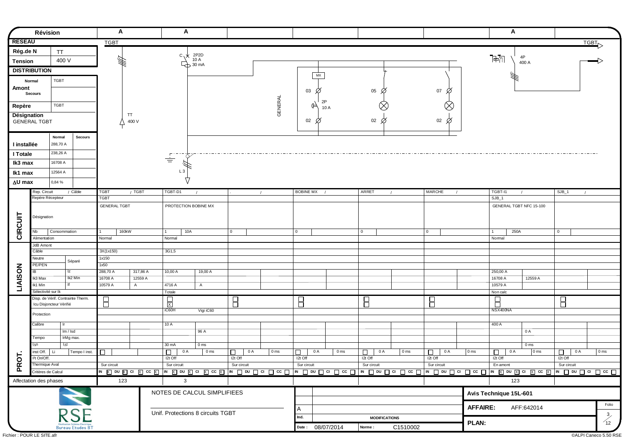|                | Révision                                                     |              |                         | Α                                                                                                                             |          | A                       |                                    |                         |                 |                  |           |                  |                         |                 |                      |                 | A                                            |                                    |                       |                                         |
|----------------|--------------------------------------------------------------|--------------|-------------------------|-------------------------------------------------------------------------------------------------------------------------------|----------|-------------------------|------------------------------------|-------------------------|-----------------|------------------|-----------|------------------|-------------------------|-----------------|----------------------|-----------------|----------------------------------------------|------------------------------------|-----------------------|-----------------------------------------|
| <b>RESEAU</b>  |                                                              |              |                         | <b>TGBT</b>                                                                                                                   |          |                         |                                    |                         |                 |                  |           |                  |                         |                 |                      |                 |                                              |                                    |                       | TGBT                                    |
| Rég.de N       |                                                              | <b>TT</b>    |                         |                                                                                                                               |          |                         |                                    |                         |                 |                  |           |                  |                         |                 |                      |                 |                                              |                                    |                       |                                         |
| <b>Tension</b> |                                                              | 400 V        |                         | 绊                                                                                                                             |          | $c \sqrt{x}$            | 2P <sub>2</sub> D<br>10 A          |                         |                 |                  |           |                  |                         |                 |                      |                 | $\overline{\mathbb{P}}\overline{\mathbb{P}}$ | 4P                                 |                       |                                         |
|                |                                                              |              |                         |                                                                                                                               |          |                         | $\overline{\bigoplus}$ 30 mA       |                         |                 |                  |           |                  |                         |                 |                      |                 |                                              | 400 A                              |                       |                                         |
|                | <b>DISTRIBUTION</b>                                          |              |                         |                                                                                                                               |          |                         |                                    |                         |                 |                  | <b>MX</b> |                  |                         |                 |                      |                 |                                              |                                    |                       |                                         |
|                | Normal                                                       | TGBT         |                         |                                                                                                                               |          |                         |                                    |                         |                 |                  |           |                  |                         |                 |                      |                 |                                              |                                    |                       |                                         |
| Amont          |                                                              |              |                         |                                                                                                                               |          |                         |                                    |                         |                 | 03               | Ø         |                  | 05<br>Ø                 |                 | 07<br>Ø              |                 |                                              |                                    |                       |                                         |
|                | <b>Secours</b>                                               |              |                         |                                                                                                                               |          |                         |                                    |                         |                 |                  |           |                  |                         |                 |                      |                 |                                              |                                    |                       |                                         |
| Repère         |                                                              | <b>TGBT</b>  |                         |                                                                                                                               |          |                         |                                    |                         |                 |                  | 2P<br>(⊨∖ |                  |                         |                 | $\otimes$            |                 |                                              |                                    |                       |                                         |
|                |                                                              |              |                         | TT                                                                                                                            |          |                         |                                    |                         | <b>GENERAL</b>  |                  | 10 A      |                  |                         |                 |                      |                 |                                              |                                    |                       |                                         |
| Désignation    | <b>GENERAL TGBT</b>                                          |              |                         | 400 V                                                                                                                         |          |                         |                                    |                         |                 | $02\varnothing$  |           |                  | 02                      |                 | 02 $\varnothing$     |                 |                                              |                                    |                       |                                         |
|                |                                                              |              |                         |                                                                                                                               |          |                         |                                    |                         |                 |                  |           |                  |                         |                 |                      |                 |                                              |                                    |                       |                                         |
|                |                                                              | Normal       |                         |                                                                                                                               |          |                         |                                    |                         |                 |                  |           |                  |                         |                 |                      |                 |                                              |                                    |                       |                                         |
| I installée    |                                                              | 288,70 A     | Secours                 |                                                                                                                               |          |                         |                                    |                         |                 |                  |           |                  |                         |                 |                      |                 |                                              |                                    |                       |                                         |
|                |                                                              |              |                         |                                                                                                                               |          |                         |                                    |                         |                 |                  |           |                  |                         |                 |                      |                 |                                              |                                    |                       |                                         |
| I Totale       |                                                              | 238,26 A     |                         |                                                                                                                               |          | $\Gamma$ .<br>$\equiv$  |                                    |                         |                 |                  |           |                  |                         |                 |                      |                 |                                              |                                    |                       |                                         |
| Ik3 max        |                                                              | 16708 A      |                         |                                                                                                                               |          |                         |                                    |                         |                 |                  |           |                  |                         |                 |                      |                 |                                              |                                    |                       |                                         |
| lk1 max        |                                                              | 12564 A      |                         |                                                                                                                               |          | L <sub>3</sub>          |                                    |                         |                 |                  |           |                  |                         |                 |                      |                 |                                              |                                    |                       |                                         |
| ∆U max         |                                                              | 0,84 %       |                         |                                                                                                                               |          | 77                      |                                    |                         |                 |                  |           |                  |                         |                 |                      |                 |                                              |                                    |                       |                                         |
|                |                                                              |              |                         |                                                                                                                               |          |                         |                                    |                         |                 |                  |           |                  |                         |                 |                      |                 |                                              |                                    |                       |                                         |
|                | Rep. Circuit<br>Repère Récepteur                             |              | / Câble                 | / TGBT<br><b>TGBT</b><br><b>TGBT</b>                                                                                          |          | TGBT-D1                 | $\sqrt{ }$                         |                         | $\sqrt{ }$      | <b>BOBINE MX</b> |           |                  | ARRET                   | $\prime$        | MARCHE<br>$\sqrt{ }$ |                 | TGBT-I1<br>$SJB_1$                           | $\sqrt{ }$                         | $SJB_1$<br>$\sqrt{ }$ |                                         |
|                |                                                              |              |                         | <b>GENERAL TGBT</b>                                                                                                           |          | PROTECTION BOBINE MX    |                                    |                         |                 |                  |           |                  |                         |                 |                      |                 | GENERAL TGBT NFC 15-100                      |                                    |                       |                                         |
|                |                                                              |              |                         |                                                                                                                               |          |                         |                                    |                         |                 |                  |           |                  |                         |                 |                      |                 |                                              |                                    |                       |                                         |
|                | Désignation                                                  |              |                         |                                                                                                                               |          |                         |                                    |                         |                 |                  |           |                  |                         |                 |                      |                 |                                              |                                    |                       |                                         |
|                |                                                              |              |                         |                                                                                                                               |          |                         |                                    |                         |                 |                  |           |                  |                         |                 |                      |                 |                                              |                                    |                       |                                         |
| CIRCUIT        | Nb                                                           | Consommation |                         | 160kW                                                                                                                         |          | 10A                     |                                    | $\overline{0}$          |                 | 0                |           |                  | $\vert 0 \vert$         |                 | 0                    |                 | 250A<br>$\overline{1}$                       |                                    | $\overline{0}$        |                                         |
|                | Alimentation                                                 |              |                         | Normal                                                                                                                        |          | Normal                  |                                    |                         |                 |                  |           |                  |                         |                 |                      |                 | Nomal                                        |                                    |                       |                                         |
|                | JdB Amont<br>Câble                                           |              |                         | 3X(1x150)                                                                                                                     |          | 3G1,5                   |                                    |                         |                 |                  |           |                  |                         |                 |                      |                 |                                              |                                    |                       |                                         |
|                | Neutre                                                       |              |                         | 1x150                                                                                                                         |          |                         |                                    |                         |                 |                  |           |                  |                         |                 |                      |                 |                                              |                                    |                       |                                         |
|                | PE/PEN                                                       |              | Séparé                  | 1x50                                                                                                                          |          |                         |                                    |                         |                 |                  |           |                  |                         |                 |                      |                 |                                              |                                    |                       |                                         |
| <b>LIAISON</b> | <b>IB</b>                                                    | Iz           |                         | 288,70 A                                                                                                                      | 317,86 A | 10,00 A                 | 19,00 A                            |                         |                 |                  |           |                  |                         |                 |                      |                 | 250,00 A                                     |                                    |                       |                                         |
|                | Ik3 Max                                                      |              | Ik2 Min                 | 16708 A                                                                                                                       | 12559 A  |                         |                                    |                         |                 |                  |           |                  |                         |                 |                      |                 | 16708 A                                      | 12559 A                            |                       |                                         |
|                | Ik1 Min                                                      |              |                         | 10579 A<br>$\overline{A}$                                                                                                     |          | 4716 A                  | $\mathsf{A}$                       |                         |                 |                  |           |                  |                         |                 |                      |                 | 10579 A                                      |                                    |                       |                                         |
|                | Sélectivité sur Ik                                           |              |                         |                                                                                                                               |          | Totale                  |                                    |                         |                 |                  |           |                  |                         |                 |                      |                 | Non calc                                     |                                    |                       |                                         |
|                | Disp. de Vérif. Contrainte Therm.<br>Icu Disjoncteur Vérifié |              |                         | 8                                                                                                                             |          | $\overline{\mathbf{x}}$ |                                    | $\overline{\mathsf{B}}$ |                 | $\overline{E}$   |           |                  | $\overline{\mathsf{B}}$ |                 | Β                    |                 | $\overline{\phantom{a}}$                     |                                    | Β                     |                                         |
|                |                                                              |              |                         |                                                                                                                               |          | iC60H                   | Vigi iC60                          |                         |                 |                  |           |                  |                         |                 |                      |                 | NSX400NA                                     |                                    |                       |                                         |
|                | Protection                                                   |              |                         |                                                                                                                               |          |                         |                                    |                         |                 |                  |           |                  |                         |                 |                      |                 |                                              |                                    |                       |                                         |
|                | Calibre                                                      | lr.          |                         |                                                                                                                               |          | 10A                     |                                    |                         |                 |                  |           |                  |                         |                 |                      |                 | 400 A                                        |                                    |                       |                                         |
|                |                                                              | Im / Isd     |                         |                                                                                                                               |          |                         | 96 A                               |                         |                 |                  |           |                  |                         |                 |                      |                 |                                              | 0 A                                |                       |                                         |
|                | Tempo<br>I <sub>An</sub>                                     | IrMg max.    |                         |                                                                                                                               |          |                         |                                    |                         |                 |                  |           |                  |                         |                 |                      |                 |                                              |                                    |                       |                                         |
|                | inst Off.<br>  Li                                            | l∆t          |                         | $\Box$                                                                                                                        |          | 30 mA<br>$\Box$<br>0 A  | 0 <sub>ms</sub><br>0 <sub>ms</sub> | 0 A                     | 0 <sub>ms</sub> |                  | 0 A       | 0 <sub>ms</sub>  | 0 A                     | 0 <sub>ms</sub> | 0 A                  | 0 <sub>ms</sub> | 0 A                                          | 0 <sub>ms</sub><br>0 <sub>ms</sub> | 0 A                   | $\boxed{0}$ ms                          |
| $\overline{5}$ | I <sup>2</sup> t On/Off.                                     |              | Tempo I inst.           |                                                                                                                               |          | $I2t$ Off               |                                    | □<br>I2t Off            |                 | □<br>I2t Off     |           |                  | □<br>I2t Off            |                 | □<br>$12t$ Off       |                 | □<br>I2t Off                                 |                                    | □<br>I2t Off          |                                         |
| <b>PK</b>      | Thermique Aval                                               |              |                         | Sur circuit                                                                                                                   |          | Sur circuit             |                                    | Sur circuit             |                 | Sur circuit      |           |                  | Sur circuit             |                 | Sur circuit          |                 | En amont                                     |                                    | Sur circuit           |                                         |
|                | Critères de Calcul                                           |              |                         | <u>w ⊠ on ⊠ cr ⊠  w ⊠ on ⊠ cr ⊠  w □ on □ cr □  w □ on □ cr □  w □ on □ cr □  w □ on □ cr □  w ⊠ on ⊠ cr ⊠  w □ on □ cr □</u> |          |                         |                                    |                         |                 |                  |           |                  |                         |                 |                      |                 |                                              |                                    |                       |                                         |
|                | Affectation des phases                                       |              |                         | 123                                                                                                                           |          | $\mathbf{3}$            |                                    |                         |                 |                  |           |                  |                         |                 |                      |                 | 123                                          |                                    |                       |                                         |
|                |                                                              |              |                         |                                                                                                                               |          |                         |                                    |                         |                 |                  |           |                  |                         |                 |                      |                 |                                              |                                    |                       |                                         |
|                |                                                              |              |                         |                                                                                                                               |          |                         | NOTES DE CALCUL SIMPLIFIEES        |                         |                 |                  |           |                  |                         |                 |                      |                 | Avis Technique 15L-601                       |                                    |                       |                                         |
|                |                                                              |              |                         |                                                                                                                               |          |                         |                                    |                         |                 |                  |           |                  |                         |                 |                      |                 |                                              |                                    |                       | Folio                                   |
|                |                                                              |              |                         |                                                                                                                               |          |                         | Unif. Protections 8 circuits TGBT  |                         |                 | A                |           |                  |                         |                 |                      | <b>AFFAIRE:</b> |                                              | AFF:642014                         |                       |                                         |
|                |                                                              |              | <b>RSE</b>              |                                                                                                                               |          |                         |                                    |                         |                 | Ind.             |           |                  | <b>MODIFICATIONS</b>    |                 |                      |                 |                                              |                                    |                       | $\begin{pmatrix} 3 \\ 12 \end{pmatrix}$ |
|                |                                                              |              | <b>Bureau Etudes BT</b> |                                                                                                                               |          |                         |                                    |                         |                 |                  |           | Date: 08/07/2014 | Norme:                  | C1510002        |                      | PLAN:           |                                              |                                    |                       |                                         |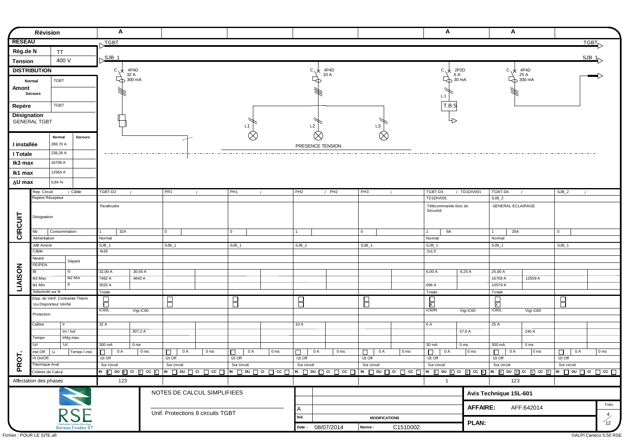|               | Révision                              |                                   |                         |               | A                                   |                 |                   |          |                                   |                         |                 |              |                          |                  |                 |                         |                      |                 | A                           |                            | A                      |                                       |                       |                                         |
|---------------|---------------------------------------|-----------------------------------|-------------------------|---------------|-------------------------------------|-----------------|-------------------|----------|-----------------------------------|-------------------------|-----------------|--------------|--------------------------|------------------|-----------------|-------------------------|----------------------|-----------------|-----------------------------|----------------------------|------------------------|---------------------------------------|-----------------------|-----------------------------------------|
| <b>RESEAU</b> |                                       |                                   |                         | TGBT          |                                     |                 |                   |          |                                   |                         |                 |              |                          |                  |                 |                         |                      |                 |                             |                            |                        |                                       |                       | TGBT                                    |
| Rég.de N      |                                       | TT                                |                         |               |                                     |                 |                   |          |                                   |                         |                 |              |                          |                  |                 |                         |                      |                 |                             |                            |                        |                                       |                       |                                         |
| Tension       |                                       | 400 V                             |                         | $SJB_1$       |                                     |                 |                   |          |                                   |                         |                 |              |                          |                  |                 |                         |                      |                 |                             |                            |                        |                                       |                       | $SJB_1$                                 |
|               | <b>DISTRIBUTION</b>                   |                                   |                         |               | °∨c<br>4P4D                         |                 |                   |          |                                   |                         |                 |              | $c \sqrt{x}$             | 4P4D             |                 |                         |                      |                 | $c \sqrt{x}$                | 2P2D                       | $c, \star$             | 4P4D                                  |                       |                                         |
|               |                                       |                                   |                         |               | 32 A<br>$\overrightarrow{Q}$ 300 mA |                 |                   |          |                                   |                         |                 |              |                          | 10 A<br>         |                 |                         |                      |                 |                             | 6 A<br>$\rightarrow$ 30 mA |                        | 25 A<br>$\overline{\bigoplus}$ 300 mA |                       |                                         |
| Amont         | Normal                                | TGBT                              |                         |               |                                     |                 |                   |          |                                   |                         |                 |              |                          |                  |                 |                         |                      |                 |                             |                            |                        |                                       |                       |                                         |
|               | Secours                               |                                   |                         |               |                                     |                 |                   |          |                                   |                         |                 |              |                          |                  |                 |                         |                      |                 | L <sub>1</sub>              |                            |                        |                                       |                       |                                         |
|               |                                       |                                   |                         |               |                                     |                 |                   |          |                                   |                         |                 |              |                          |                  |                 |                         |                      |                 |                             |                            |                        |                                       |                       |                                         |
| Repère        |                                       | <b>TGBT</b>                       |                         |               |                                     |                 |                   |          |                                   |                         |                 |              |                          |                  |                 |                         |                      |                 | T.B.S                       |                            |                        |                                       |                       |                                         |
| Désignation   | <b>GENERAL TGBT</b>                   |                                   |                         |               |                                     |                 |                   |          |                                   |                         |                 |              |                          |                  |                 |                         |                      |                 | ⊹                           |                            |                        |                                       |                       |                                         |
|               |                                       |                                   |                         |               |                                     |                 |                   |          |                                   | L1                      |                 |              | L <sub>2</sub>           |                  |                 | L3                      |                      |                 |                             |                            |                        |                                       |                       |                                         |
|               |                                       | Normal                            | <b>Secours</b>          |               |                                     |                 |                   |          |                                   |                         | $\otimes$       |              |                          | $\propto$        |                 |                         | $\otimes$            |                 |                             |                            |                        |                                       |                       |                                         |
| I installée   |                                       | 288,70 A                          |                         |               |                                     |                 |                   |          |                                   |                         |                 |              |                          | PRESENCE TENSION |                 |                         |                      |                 |                             |                            |                        |                                       |                       |                                         |
| I Totale      |                                       | 238,26 A                          |                         |               |                                     |                 |                   |          |                                   |                         |                 |              |                          |                  |                 | ----------------------- |                      |                 |                             |                            |                        |                                       |                       |                                         |
| Ik3 max       |                                       | 16708 A                           |                         |               |                                     |                 |                   |          |                                   |                         |                 |              |                          |                  |                 |                         |                      |                 |                             |                            |                        |                                       |                       |                                         |
|               |                                       | 12564 A                           |                         |               |                                     |                 |                   |          |                                   |                         |                 |              |                          |                  |                 |                         |                      |                 |                             |                            |                        |                                       |                       |                                         |
| lk1 max       |                                       |                                   |                         |               |                                     |                 |                   |          |                                   |                         |                 |              |                          |                  |                 |                         |                      |                 |                             |                            |                        |                                       |                       |                                         |
| ∆U max        |                                       | 0,84 %                            |                         |               |                                     |                 |                   |          |                                   |                         |                 |              |                          |                  |                 |                         |                      |                 |                             |                            |                        |                                       |                       |                                         |
|               | Rep. Circuit<br>Repère Récepteur      |                                   | / Câble                 | TGBT-D2       |                                     |                 | PR <sub>1</sub>   | $\prime$ |                                   | PH <sub>1</sub>         | $\prime$        |              | PH <sub>2</sub>          | $/$ PH2          |                 | PH <sub>3</sub>         | $\prime$             |                 | TGBT-D3<br><b>TD1DIV001</b> | / TD1DIV001                | TGBT-D4<br>$SJB_2$     |                                       | $SJB_2$<br>$\sqrt{ }$ |                                         |
|               |                                       |                                   |                         | Parafoudre    |                                     |                 |                   |          |                                   |                         |                 |              |                          |                  |                 |                         |                      |                 | Télécommande bloc de        |                            |                        | <b>GENERAL ECLAIRAGE</b>              |                       |                                         |
|               |                                       |                                   |                         |               |                                     |                 |                   |          |                                   |                         |                 |              |                          |                  |                 |                         |                      |                 | Sécurité                    |                            |                        |                                       |                       |                                         |
|               | Désignation                           |                                   |                         |               |                                     |                 |                   |          |                                   |                         |                 |              |                          |                  |                 |                         |                      |                 |                             |                            |                        |                                       |                       |                                         |
| CIRCUIT       | Nb                                    | Consommation                      |                         |               | 32A                                 |                 | 0                 |          |                                   | 0                       |                 | $\mathbf{1}$ |                          |                  |                 | $\overline{0}$          |                      |                 | 6A<br>$\overline{1}$        |                            | $\overline{1}$         | 25A                                   | $\overline{0}$        |                                         |
|               | Alimentation                          |                                   |                         | Normal        |                                     |                 |                   |          |                                   |                         |                 |              |                          |                  |                 |                         |                      |                 | Normal                      |                            | Nomal                  |                                       |                       |                                         |
|               | JdB Amont                             |                                   |                         | $SJB_1$       |                                     |                 | $SJB_1$           |          |                                   | $SJB_1$                 |                 |              | $SJB_1$                  |                  |                 | $SJB_1$                 |                      |                 | $SJB_1$                     |                            | $SJB_1$                |                                       | $SJB_1$               |                                         |
|               | Câble                                 |                                   |                         | 4x16          |                                     |                 |                   |          |                                   |                         |                 |              |                          |                  |                 |                         |                      |                 | 2x1,5                       |                            |                        |                                       |                       |                                         |
|               | Neutre<br>PE/PEN                      |                                   | Séparé                  |               |                                     |                 |                   |          |                                   |                         |                 |              |                          |                  |                 |                         |                      |                 |                             |                            |                        |                                       |                       |                                         |
| LIAISON       | $\overline{IB}$                       | Iz                                |                         | 32,00 A       | 30,55 A                             |                 |                   |          |                                   |                         |                 |              |                          |                  |                 |                         |                      |                 | 6,00 A                      | 8,25 A                     | 25,00 A                |                                       |                       |                                         |
|               | Ik3 Max                               |                                   | Ik2 Min                 | 7462 A        | 4843 A                              |                 |                   |          |                                   |                         |                 |              |                          |                  |                 |                         |                      |                 |                             |                            | 16708 A                | 12559 A                               |                       |                                         |
|               | Ik1 Min                               |                                   |                         | 3025 A        |                                     |                 |                   |          |                                   |                         |                 |              |                          |                  |                 |                         |                      |                 | 696 A                       |                            | 10579 A                |                                       |                       |                                         |
|               | Sélectivité sur Ik                    | Disp. de Vérif. Contrainte Therm. |                         | Totale        |                                     |                 |                   |          |                                   |                         |                 |              |                          |                  |                 |                         |                      |                 | Totale                      |                            | Totale                 |                                       |                       |                                         |
|               |                                       | Icu Disjoncteur Vérifié           |                         | 局             |                                     |                 | $\Box$            |          |                                   | $\overline{\mathsf{B}}$ |                 |              | $\overline{B}$           |                  |                 | $\overline{B}$          |                      |                 | $\frac{1}{x}$               |                            | $\frac{1}{x}$          |                                       | 8                     |                                         |
|               | Protection                            |                                   |                         | iC60L         | Vigi iC60                           |                 |                   |          |                                   |                         |                 |              |                          |                  |                 |                         |                      |                 | iC60N                       | Vigi iC60                  | iC60L                  | Vigi iC60                             |                       |                                         |
|               | Calibre                               | lr.                               |                         | 32A           |                                     |                 |                   |          |                                   |                         |                 |              | 10A                      |                  |                 |                         |                      |                 | 6 A                         |                            | 25A                    |                                       |                       |                                         |
|               |                                       | Im / Isd                          |                         |               | 307,2 A                             |                 |                   |          |                                   |                         |                 |              |                          |                  |                 |                         |                      |                 |                             | 57,6 A                     |                        | 240 A                                 |                       |                                         |
|               | Tempo                                 | IrMg max.                         |                         |               |                                     |                 |                   |          |                                   |                         |                 |              |                          |                  |                 |                         |                      |                 |                             |                            |                        |                                       |                       |                                         |
|               | l∆n                                   | l∆t                               |                         | 300 mA        | 0 <sub>ms</sub>                     |                 |                   |          |                                   |                         |                 |              |                          |                  |                 |                         |                      |                 | 30 mA                       | 0 <sub>ms</sub>            | 300 mA                 | 0 <sub>ms</sub>                       |                       |                                         |
|               | inst Off.<br>l <sup>2</sup> t On/Off. | Li                                | Tempo I inst.           | 0.<br>I2t Off | 0 A                                 | 0 <sub>ms</sub> | $\Box$<br>I2t Off | 0 A      | 0 <sub>ms</sub>                   | 0 A<br>□<br>I2t Off     | 0 <sub>ms</sub> |              | 0 A<br>$\Box$<br>I2t Off |                  | 0 <sub>ms</sub> | $\Box$<br>I2t Off       | 0 A                  | 0 <sub>ms</sub> | 0 A<br>П.<br>I2t Off        | $ 0 \text{ ms} $           | 0 A<br>□<br>I2t Off    | 0 <sub>ms</sub>                       | 0 A<br>□<br>I2t Off   | $\sqrt{0}$ ms                           |
| PROT.         | Thermique Aval                        |                                   |                         | Sur circuit   |                                     |                 | Sur circuit       |          |                                   | Sur circuit             |                 |              | Sur circuit              |                  |                 | Sur circuit             |                      |                 | Sur circuit                 |                            | Sur circuit            |                                       | Sur circuit           |                                         |
|               | Critères de Calcul                    |                                   |                         |               |                                     |                 |                   |          |                                   |                         |                 |              |                          |                  |                 |                         |                      |                 |                             |                            |                        |                                       |                       |                                         |
|               | Affectation des phases                |                                   |                         |               | 123                                 |                 |                   |          |                                   |                         |                 |              |                          |                  |                 |                         |                      |                 | $\overline{1}$              |                            |                        | 123                                   |                       |                                         |
|               |                                       |                                   |                         |               |                                     |                 |                   |          | NOTES DE CALCUL SIMPLIFIEES       |                         |                 |              |                          |                  |                 |                         |                      |                 |                             |                            | Avis Technique 15L-601 |                                       |                       |                                         |
|               |                                       |                                   |                         |               |                                     |                 |                   |          |                                   |                         |                 |              |                          |                  |                 |                         |                      |                 |                             | <b>AFFAIRE:</b>            |                        |                                       |                       | Folio                                   |
|               |                                       |                                   | <b>RSE</b>              |               |                                     |                 |                   |          | Unif. Protections 8 circuits TGBT |                         |                 |              | A                        |                  |                 |                         |                      |                 |                             |                            |                        | AFF:642014                            |                       |                                         |
|               |                                       |                                   |                         |               |                                     |                 |                   |          |                                   |                         |                 |              | Ind.                     |                  |                 |                         | <b>MODIFICATIONS</b> |                 |                             | <b>PLAN:</b>               |                        |                                       |                       | $\begin{pmatrix} 4 \\ 12 \end{pmatrix}$ |
|               |                                       |                                   | <b>Bureau Etudes B7</b> |               |                                     |                 |                   |          |                                   |                         |                 |              |                          | Date: 08/07/2014 |                 | Norme:                  |                      | C1510002        |                             |                            |                        |                                       |                       |                                         |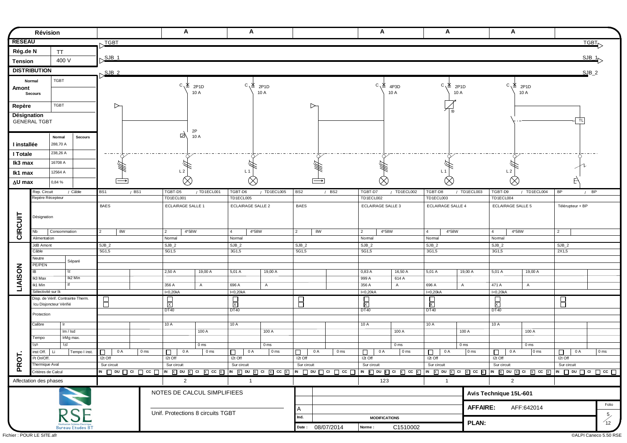|                | <b>Révision</b>                            |                                                          |                                    |                 | A                                 |                                   | A                                 |                 |                        |                  |                 | A                           |                 | A                                 |                 | A                       |                                                                                                                                       |                        |                                        |
|----------------|--------------------------------------------|----------------------------------------------------------|------------------------------------|-----------------|-----------------------------------|-----------------------------------|-----------------------------------|-----------------|------------------------|------------------|-----------------|-----------------------------|-----------------|-----------------------------------|-----------------|-------------------------|---------------------------------------------------------------------------------------------------------------------------------------|------------------------|----------------------------------------|
| <b>RESEAU</b>  |                                            |                                                          | TGBT                               |                 |                                   |                                   |                                   |                 |                        |                  |                 |                             |                 |                                   |                 |                         |                                                                                                                                       |                        | <b>TGBT</b>                            |
| Rég.de N       |                                            | <b>TT</b>                                                |                                    |                 |                                   |                                   |                                   |                 |                        |                  |                 |                             |                 |                                   |                 |                         |                                                                                                                                       |                        |                                        |
| <b>Tension</b> |                                            | 400 V                                                    | $SJB_1$                            |                 |                                   |                                   |                                   |                 |                        |                  |                 |                             |                 |                                   |                 |                         |                                                                                                                                       |                        | SJB_1                                  |
|                | <b>DISTRIBUTION</b>                        |                                                          | $SJB$ 2                            |                 |                                   |                                   |                                   |                 |                        |                  |                 |                             |                 |                                   |                 |                         |                                                                                                                                       |                        | $SJB_2$                                |
|                | Normal                                     | <b>TGBT</b>                                              |                                    |                 |                                   |                                   |                                   |                 |                        |                  |                 |                             |                 |                                   |                 |                         |                                                                                                                                       |                        |                                        |
| Amont          |                                            |                                                          |                                    |                 | $C^{\prime}$                      | 2P <sub>1</sub> D                 | $C \ X$ 2P1D                      |                 |                        |                  |                 | $C^{\prime}$                | 4P3D            | $C^{\prime}$                      | 2P1D            |                         | $C \ K 2P1D$                                                                                                                          |                        |                                        |
|                | <b>Secours</b>                             |                                                          |                                    |                 |                                   | 10 A                              |                                   | 10 A            |                        |                  |                 |                             | 10 A            |                                   | 10 A            |                         | 10 A                                                                                                                                  |                        |                                        |
| Repère         |                                            | <b>TGBT</b>                                              | D                                  |                 |                                   |                                   |                                   |                 |                        | ▷                |                 |                             |                 |                                   |                 |                         |                                                                                                                                       |                        |                                        |
| Désignation    |                                            |                                                          |                                    |                 |                                   |                                   |                                   |                 |                        |                  |                 |                             |                 |                                   |                 |                         |                                                                                                                                       |                        |                                        |
|                | <b>GENERAL TGBT</b>                        |                                                          |                                    |                 |                                   |                                   |                                   |                 |                        |                  |                 |                             |                 |                                   |                 |                         |                                                                                                                                       | <b>TL</b>              |                                        |
|                |                                            | <b>Secours</b><br>Normal                                 |                                    |                 | 더                                 | 2P<br>10 A                        |                                   |                 |                        |                  |                 |                             |                 |                                   |                 |                         |                                                                                                                                       |                        |                                        |
| I installée    |                                            | 288,70 A                                                 |                                    |                 |                                   |                                   |                                   |                 |                        |                  |                 |                             |                 |                                   |                 |                         |                                                                                                                                       |                        |                                        |
| I Totale       |                                            | 238,26 A                                                 | $- - - - +$                        |                 |                                   |                                   |                                   |                 |                        |                  |                 |                             |                 |                                   |                 |                         |                                                                                                                                       |                        |                                        |
| Ik3 max        |                                            | 16708 A                                                  |                                    |                 |                                   |                                   |                                   |                 |                        |                  |                 |                             |                 |                                   |                 |                         |                                                                                                                                       |                        |                                        |
| Ik1 max        |                                            | 12564 A                                                  |                                    |                 | L <sub>2</sub>                    |                                   | L <sub>1</sub>                    |                 |                        |                  |                 |                             |                 | L <sub>1</sub>                    |                 | L <sub>2</sub>          |                                                                                                                                       |                        |                                        |
| ∆U max         |                                            | 0,84%                                                    |                                    |                 | $\otimes$                         |                                   |                                   |                 |                        |                  |                 |                             |                 |                                   |                 |                         |                                                                                                                                       |                        |                                        |
|                | Rep. Circuit                               | / Câble                                                  | BS1                                | $/$ BS1         | TGBT-D5                           | / TD1ECL001                       | TGBT-D6                           | / TD1ECL005     | BS <sub>2</sub>        |                  | $/$ BS2         | TGBT-D7                     | / TD1ECL002     | TGBT-D8                           | / TD1ECL003     | TGBT-D9                 | / TD1ECL004                                                                                                                           | <b>BP</b>              | $/$ BP                                 |
|                | Repère Récepteur                           |                                                          |                                    |                 | TD1ECL001                         |                                   | TD1ECL005                         |                 |                        |                  |                 | TD1ECL002                   |                 | TD1ECL003                         |                 | TD1ECL004               |                                                                                                                                       |                        |                                        |
|                |                                            |                                                          | <b>BAES</b>                        |                 | <b>ECLAIRAGE SALLE 1</b>          |                                   | <b>ECLAIRAGE SALLE 2</b>          |                 | <b>BAES</b>            |                  |                 | <b>ECLAIRAGE SALLE 3</b>    |                 | <b>ECLAIRAGE SALLE 4</b>          |                 | ECLAIRAGE SALLE 5       |                                                                                                                                       | Télérupteur + BP       |                                        |
|                | Désignation                                |                                                          |                                    |                 |                                   |                                   |                                   |                 |                        |                  |                 |                             |                 |                                   |                 |                         |                                                                                                                                       |                        |                                        |
|                |                                            |                                                          |                                    |                 |                                   |                                   |                                   |                 |                        |                  |                 |                             |                 |                                   |                 |                         |                                                                                                                                       |                        |                                        |
| CIRCUIT        | Nb<br>Alimentation                         | Consommation                                             | 8W<br>2                            |                 | $\overline{2}$<br>4*58W<br>Normal |                                   | $\overline{4}$<br>4*58W<br>Normal |                 | $\vert$ 2              | 8W               |                 | $\vert$ 2<br>4*58W<br>Nomal |                 | $\overline{4}$<br>4*58W<br>Normal |                 | $\overline{4}$<br>Nomal | 4*58W                                                                                                                                 | $\overline{2}$         |                                        |
|                | JdB Amont                                  |                                                          | $SJB_2$                            |                 | $SJB_2$                           |                                   | $SJB_2$                           |                 | $SJB_2$                |                  |                 | $SJB_2$                     |                 | $SJB_2$                           |                 | $SJB_2$                 |                                                                                                                                       | $SJB_2$                |                                        |
|                | Câble                                      |                                                          | 5G1,5                              |                 | 5G1,5                             |                                   | 3G1,5                             |                 | 5G1,5                  |                  |                 | 5G1,5                       |                 | 3G1,5                             |                 | 3G1,5                   |                                                                                                                                       | 2X1,5                  |                                        |
|                | Neutre<br>PE/PEN                           | Séparé                                                   |                                    |                 |                                   |                                   |                                   |                 |                        |                  |                 |                             |                 |                                   |                 |                         |                                                                                                                                       |                        |                                        |
| <b>LIAISON</b> | IB                                         | Iz                                                       |                                    |                 | 2,50 A                            | 19,00 A                           | 5,01 A                            | 19,00 A         |                        |                  |                 | 0,83 A                      | 16,50 A         | 5,01 A                            | 19,00 A         | 5,01 A                  | 19,00 A                                                                                                                               |                        |                                        |
|                | Ik3 Max                                    | Ik2 Min                                                  |                                    |                 |                                   |                                   |                                   |                 |                        |                  |                 | 999 A                       | 614 A           |                                   |                 |                         |                                                                                                                                       |                        |                                        |
|                | Ik1 Min<br>Sélectivité sur Ik              | $\overline{H}$                                           |                                    |                 | 356 A<br>I<0,20kA                 | $\mathsf{A}$                      | 696 A<br>I<0,20kA                 | $\mathsf{A}$    |                        |                  |                 | 356 A<br>I<0,20kA           | $\mathsf{A}$    | 696 A<br>I<0,20kA                 | A               | 471 A<br>I<0,20kA       | $\mathsf{A}$                                                                                                                          |                        |                                        |
|                |                                            | Disp. de Vérif. Contrainte Therm.                        | Β                                  |                 | $\frac{1}{x}$                     |                                   | $\frac{1}{x}$                     |                 | Β                      |                  |                 | $\frac{1}{x}$               |                 | $\sum_{\mathbf{X}}$               |                 | $\sqrt{\frac{1}{x}}$    |                                                                                                                                       | E                      |                                        |
|                |                                            | Icu Disjoncteur Vérifié                                  |                                    |                 | <b>DT40</b>                       |                                   | <b>DT40</b>                       |                 |                        |                  |                 | <b>DT40</b>                 |                 | <b>DT40</b>                       |                 | <b>DT40</b>             |                                                                                                                                       |                        |                                        |
|                | Protection                                 |                                                          |                                    |                 |                                   |                                   |                                   |                 |                        |                  |                 |                             |                 |                                   |                 |                         |                                                                                                                                       |                        |                                        |
|                | Calibre                                    | Ir.                                                      |                                    |                 | 10A                               |                                   | 10A                               |                 |                        |                  |                 | 10A                         |                 | 10A                               |                 | 10A                     |                                                                                                                                       |                        |                                        |
|                | Tempo                                      | Im / Isd<br>IrMg max.                                    |                                    |                 |                                   | 100 A                             |                                   | 100 A           |                        |                  |                 |                             | 100 A           |                                   | 100 A           |                         | 100 A                                                                                                                                 |                        |                                        |
|                | l∆n                                        | l∆t                                                      |                                    |                 |                                   | 0 <sub>ms</sub>                   |                                   | 0 <sub>ms</sub> |                        |                  |                 |                             | 0 <sub>ms</sub> |                                   | 0 <sub>ms</sub> |                         | 0 <sub>ms</sub>                                                                                                                       |                        |                                        |
|                | inst Off.                                  | Li<br>Tempo I inst.                                      | 0 A<br>□                           | 0 <sub>ms</sub> | $\Box$<br>0 A                     | 0 <sub>ms</sub>                   | 0 A<br>$\Box$                     | 0 <sub>ms</sub> | □                      | 0 A              | 0 <sub>ms</sub> | 0 A<br>□                    | 0 <sub>ms</sub> | 0 A<br>□                          | 0 <sub>ms</sub> | 0 A<br>□                | $ 0 \text{ ms}$                                                                                                                       | 0 A<br>$\Box$          | $ 0 \text{ ms} $                       |
| 5              | I <sup>2</sup> t On/Off.<br>Thermique Aval |                                                          | I <sub>2t</sub> Off<br>Sur circuit |                 | I2t Off<br>Sur circuit            |                                   | I2t Off<br>Sur circuit            |                 | I2t Off<br>Sur circuit |                  |                 | I2t Off<br>Sur circuit      |                 | I2t Off<br>Sur circuit            |                 | I2t Off<br>Sur circuit  |                                                                                                                                       | I2t Off<br>Sur circuit |                                        |
| Æ              | Critères de Calcul                         |                                                          |                                    |                 |                                   |                                   |                                   |                 |                        |                  |                 |                             |                 |                                   |                 |                         | M 囗 @ 囗 G 囗   M 图 @ 图 G 图 @ 图   M 图 @ 图 G 图   M 囗 @ 囗 G 囗   M 图 @ 图 G 图   M 图 @ 图 G 图   M 图 @ 图   M 图 @ 图   M 囗 @ 囗 @ 囗   M 囗 @ 囗 @ 囗 |                        |                                        |
|                | Affectation des phases                     |                                                          |                                    |                 | $\overline{2}$                    |                                   | $\overline{1}$                    |                 |                        |                  |                 | 123                         |                 | $\mathbf{1}$                      |                 | $\overline{2}$          |                                                                                                                                       |                        |                                        |
|                |                                            |                                                          |                                    |                 |                                   | NOTES DE CALCUL SIMPLIFIEES       |                                   |                 |                        |                  |                 |                             |                 |                                   |                 | Avis Technique 15L-601  |                                                                                                                                       |                        |                                        |
|                |                                            |                                                          |                                    |                 |                                   |                                   |                                   |                 |                        |                  |                 |                             |                 |                                   |                 |                         |                                                                                                                                       |                        | Folio                                  |
|                |                                            | <b>RSE</b>                                               |                                    |                 |                                   | Unif. Protections 8 circuits TGBT |                                   |                 | A                      |                  |                 |                             |                 |                                   | <b>AFFAIRE:</b> |                         | AFF:642014                                                                                                                            |                        |                                        |
|                |                                            |                                                          |                                    |                 |                                   |                                   |                                   |                 | Ind.                   |                  |                 | <b>MODIFICATIONS</b>        |                 |                                   | PLAN:           |                         |                                                                                                                                       |                        | $\begin{array}{c} 5 \\ 12 \end{array}$ |
|                |                                            | <b>Réalisation Schéma Electrique</b><br>Bureau Etudes BT |                                    |                 |                                   |                                   |                                   |                 |                        | Date: 08/07/2014 |                 | Norme:                      | C1510002        |                                   |                 |                         |                                                                                                                                       |                        |                                        |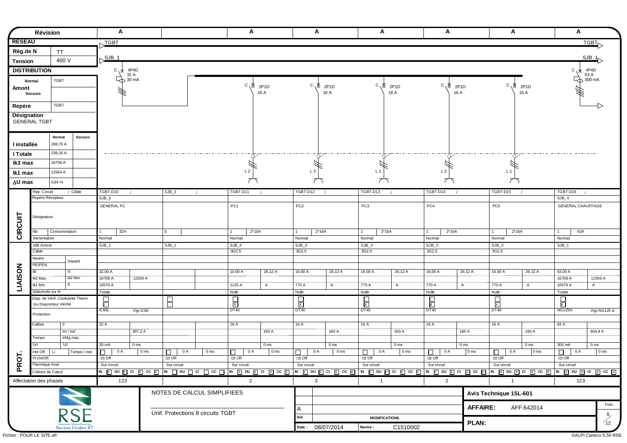| <b>RESEAU</b><br>Rég.de N<br><b>Tension</b><br><b>DISTRIBUTION</b><br>Normal<br>Amont<br><b>Secours</b><br>Repère |                          | TT<br>400 V<br><b>TGBT</b>        |                                                          | TGBT<br>$SJB_1$<br>$c \sqrt{x}$ |                             |                |                                   |                           |                 |                   |                  |                         |                           |                         |                           |                         |                           |                          | <b>TGBT</b>     |
|-------------------------------------------------------------------------------------------------------------------|--------------------------|-----------------------------------|----------------------------------------------------------|---------------------------------|-----------------------------|----------------|-----------------------------------|---------------------------|-----------------|-------------------|------------------|-------------------------|---------------------------|-------------------------|---------------------------|-------------------------|---------------------------|--------------------------|-----------------|
|                                                                                                                   |                          |                                   |                                                          |                                 |                             |                |                                   |                           |                 |                   |                  |                         |                           |                         |                           |                         |                           |                          |                 |
|                                                                                                                   |                          |                                   |                                                          |                                 |                             |                |                                   |                           |                 |                   |                  |                         |                           |                         |                           |                         |                           |                          |                 |
|                                                                                                                   |                          |                                   |                                                          |                                 |                             |                |                                   |                           |                 |                   |                  |                         |                           |                         |                           |                         |                           |                          | $SJB_1$         |
|                                                                                                                   |                          |                                   |                                                          |                                 |                             |                |                                   |                           |                 |                   |                  |                         |                           |                         |                           |                         |                           |                          |                 |
|                                                                                                                   |                          |                                   |                                                          |                                 | 4P4D<br>32 A                |                |                                   |                           |                 |                   |                  |                         |                           |                         |                           |                         |                           | $c^{\prime\prime}$       | 4P4D<br>63 A    |
|                                                                                                                   |                          |                                   |                                                          |                                 | $\rightarrow$ 32 A<br>30 mA |                |                                   |                           |                 |                   |                  |                         |                           |                         |                           |                         |                           |                          | $\Box$ 300 mA   |
|                                                                                                                   |                          |                                   |                                                          |                                 |                             |                |                                   | $C^{\prime}$              | 2P1D<br>16 A    | $C' \overline{X}$ | 2P1D<br>16 A     | °. ∑                    | 2P <sub>1</sub> D<br>16 A | $C^{\prime}$            | 2P <sub>1</sub> D<br>16 A | $C^{\prime}$            | 2P <sub>1</sub> D<br>16 A |                          |                 |
|                                                                                                                   |                          |                                   |                                                          |                                 |                             |                |                                   |                           |                 |                   |                  |                         |                           |                         |                           |                         |                           |                          |                 |
|                                                                                                                   |                          | <b>TGBT</b>                       |                                                          |                                 |                             |                |                                   |                           |                 |                   |                  |                         |                           |                         |                           |                         |                           |                          |                 |
| Désignation                                                                                                       |                          |                                   |                                                          |                                 |                             |                |                                   |                           |                 |                   |                  |                         |                           |                         |                           |                         |                           |                          |                 |
| <b>GENERAL TGBT</b>                                                                                               |                          |                                   |                                                          |                                 |                             |                |                                   |                           |                 |                   |                  |                         |                           |                         |                           |                         |                           |                          |                 |
|                                                                                                                   |                          |                                   |                                                          |                                 |                             |                |                                   |                           |                 |                   |                  |                         |                           |                         |                           |                         |                           |                          |                 |
|                                                                                                                   |                          | Normal                            | <b>Secours</b>                                           |                                 |                             |                |                                   |                           |                 |                   |                  |                         |                           |                         |                           |                         |                           |                          |                 |
| I installée                                                                                                       |                          | 288,70 A                          |                                                          |                                 |                             |                |                                   |                           |                 |                   |                  |                         |                           |                         |                           |                         |                           |                          |                 |
| I Totale                                                                                                          |                          | 238,26 A                          |                                                          |                                 |                             |                |                                   |                           |                 |                   |                  |                         |                           |                         |                           |                         |                           |                          |                 |
| Ik3 max                                                                                                           |                          | 16708 A                           |                                                          |                                 |                             |                |                                   |                           |                 |                   |                  |                         |                           |                         |                           |                         |                           |                          |                 |
|                                                                                                                   |                          | 12564 A                           |                                                          |                                 |                             |                |                                   | L <sub>2</sub>            |                 | L <sub>3</sub>    |                  | L <sub>1</sub>          |                           | L <sub>2</sub>          |                           | L <sub>1</sub>          |                           |                          |                 |
| Ik1 max                                                                                                           |                          |                                   |                                                          |                                 |                             |                |                                   |                           |                 |                   |                  |                         |                           |                         |                           |                         |                           |                          |                 |
| ∆U max                                                                                                            |                          | 0,84 %                            |                                                          |                                 |                             |                |                                   |                           |                 |                   |                  |                         |                           |                         |                           |                         |                           |                          |                 |
|                                                                                                                   | Rep. Circuit             |                                   | / Câble                                                  | TGBT-D10                        |                             | $SJB_3$        | $\prime$                          | TGBT-D11                  |                 | TGBT-D12          |                  | TGBT-D13                |                           | TGBT-D14                |                           | TGBT-D15                |                           | TGBT-D16<br>$\sqrt{ }$   |                 |
|                                                                                                                   | Repère Récepteur         |                                   |                                                          | $SJB_3$                         |                             |                |                                   |                           |                 |                   |                  |                         |                           |                         |                           |                         |                           | $SJB_4$                  |                 |
|                                                                                                                   |                          |                                   |                                                          | <b>GENERAL PC</b>               |                             |                |                                   | PC <sub>1</sub>           |                 | PC <sub>2</sub>   |                  | PC <sub>3</sub>         |                           | PC4                     |                           | PC <sub>5</sub>         |                           | <b>GENERAL CHAUFFAGE</b> |                 |
|                                                                                                                   | Désignation              |                                   |                                                          |                                 |                             |                |                                   |                           |                 |                   |                  |                         |                           |                         |                           |                         |                           |                          |                 |
|                                                                                                                   |                          |                                   |                                                          |                                 |                             |                |                                   |                           |                 |                   |                  |                         |                           |                         |                           |                         |                           |                          |                 |
| CIRCUIT                                                                                                           | Nb                       | Consommation                      |                                                          | 32A                             |                             | $\mathbf{0}$   |                                   | $2*10A$<br>$\overline{1}$ |                 | $\mathbf{1}$      | $2*16A$          | $2*16A$<br>$\mathbf{1}$ |                           | $2*16A$<br>$\mathbf{1}$ |                           | $2*16A$<br>$\mathbf{1}$ |                           | 63A<br>$\mathbf{1}$      |                 |
|                                                                                                                   | Alimentation             |                                   |                                                          | Normal                          |                             |                |                                   | Normal                    |                 | Normal            |                  | Nomal                   |                           | Normal                  |                           | Nomal                   |                           | Nomal                    |                 |
|                                                                                                                   | JdB Amont<br>Câble       |                                   |                                                          | $SJB_1$                         |                             | $SJB_1$        |                                   | $SJB_3$<br>3G2,5          |                 | $SJB_3$<br>3G2,5  |                  | $SJB_3$<br>3G2,5        |                           | $SJB_3$<br>3G2,5        |                           | $SJB_3$<br>3G2,5        |                           | $SJB_1$                  |                 |
|                                                                                                                   | Neutre                   |                                   |                                                          |                                 |                             |                |                                   |                           |                 |                   |                  |                         |                           |                         |                           |                         |                           |                          |                 |
|                                                                                                                   | PE/PEN                   |                                   | Séparé                                                   |                                 |                             |                |                                   |                           |                 |                   |                  |                         |                           |                         |                           |                         |                           |                          |                 |
| IB                                                                                                                |                          | Iz                                |                                                          | 32,00 A                         |                             |                |                                   | 10,00 A                   | 26,12 A         | 16,00 A           | 26,12 A          | 16,00 A                 | 26,12 A                   | 16,00 A                 | 26,12 A                   | 16,00 A                 | 26,12 A                   | 63,00 A                  |                 |
|                                                                                                                   | Ik3 Max                  |                                   | Ik2 Min                                                  | 16708 A                         | 12559 A                     |                |                                   |                           |                 |                   |                  |                         |                           |                         |                           |                         |                           | 16708 A                  | 12559 A         |
| <b>LIAISON</b>                                                                                                    | Ik1 Min                  |                                   |                                                          | 10579 A                         |                             |                |                                   | 1125 A                    | $\overline{A}$  | 770 A             | $\overline{A}$   | 770 A                   | $\overline{A}$            | 770 A                   | $\overline{A}$            | 770 A                   | $\mathsf{A}$              | 10579 A                  | A               |
|                                                                                                                   | Sélectivité sur Ik       | Disp. de Vérif. Contrainte Therm. |                                                          | Totale                          |                             |                |                                   | Nulle                     |                 | Nulle             |                  | Nulle                   |                           | Nulle                   |                           | Nulle                   |                           | Totale                   |                 |
|                                                                                                                   | Icu Disjoncteur Vérifié  |                                   |                                                          | 局                               |                             | $\overline{B}$ |                                   | $\frac{1}{x}$             |                 | $\frac{1}{x}$     |                  | $\frac{1}{x}$           |                           | $\frac{1}{x}$           |                           | $\frac{1}{x}$           |                           | $\frac{1}{x}$            |                 |
|                                                                                                                   | Protection               |                                   |                                                          | iC60L                           | Vigi iC60                   |                |                                   | <b>DT40</b>               |                 | <b>DT40</b>       |                  | <b>DT40</b>             |                           | DT40                    |                           | <b>DT40</b>             |                           | <b>NG125N</b>            | Vigi NG125 si   |
|                                                                                                                   |                          |                                   |                                                          |                                 |                             |                |                                   |                           |                 |                   |                  |                         |                           |                         |                           |                         |                           |                          |                 |
|                                                                                                                   | Calibre                  | lr.                               |                                                          | 32 A                            |                             |                |                                   | 16A                       |                 | 16A               |                  | 16A                     |                           | 16A                     | 160 A                     | 16A                     | 160 A                     | 63 A                     |                 |
|                                                                                                                   | Tempo                    | lm / Isd<br>IrMg max.             |                                                          |                                 | 307,2 A                     |                |                                   |                           | 160 A           |                   | 160 A            |                         | 160 A                     |                         |                           |                         |                           |                          | 604,8 A         |
|                                                                                                                   | l∆n                      | l∆t                               |                                                          | 30 mA                           | 0 <sub>ms</sub>             |                |                                   |                           | 0 <sub>ms</sub> |                   | 0 <sub>ms</sub>  |                         | 0 <sub>ms</sub>           |                         | 0 <sub>ms</sub>           |                         | 0 <sub>ms</sub>           | 300 mA                   | 0 <sub>ms</sub> |
|                                                                                                                   | inst Off.<br>Li          |                                   | Tempo I inst.                                            | □<br>0 A                        | 0 <sub>ms</sub>             | 0 A<br>□       | 0 <sub>ms</sub>                   | 0 A<br>□                  | 0 <sub>ms</sub> | 0 A<br>$\Box$     | 0 <sub>ms</sub>  | 0 A<br>$\Box$           | 0 <sub>ms</sub>           | 0 A<br>$\Box$           | 0 <sub>ms</sub>           | 0 A<br>$\Box$           | 0 <sub>ms</sub>           | 0 A<br>□                 | 0 <sub>ms</sub> |
| $\overline{5}$                                                                                                    | I <sup>2</sup> t On/Off. |                                   |                                                          | I2t Off                         |                             | I2t Off        |                                   | I2t Off                   |                 | I2t Off           |                  | $12t$ Off               |                           | $12t$ Off               |                           | $I2t$ Off               |                           | I2t Off                  |                 |
| Æ                                                                                                                 | Thermique Aval           |                                   |                                                          | Sur circuit                     |                             | Sur circuit    |                                   | Sur circuit               |                 | Sur circuit       |                  | Sur circuit             |                           | Sur circuit             |                           | Sur circuit             |                           | Sur circuit              |                 |
|                                                                                                                   | Critères de Calcul       |                                   |                                                          |                                 |                             |                |                                   |                           |                 |                   |                  |                         |                           |                         |                           |                         |                           |                          |                 |
| Affectation des phases                                                                                            |                          |                                   |                                                          | 123                             |                             |                |                                   | $\overline{2}$            |                 | $\mathbf{3}$      |                  | $\overline{1}$          |                           | $\overline{2}$          |                           | $\mathbf{1}$            |                           | 123                      |                 |
|                                                                                                                   |                          |                                   |                                                          |                                 |                             |                | NOTES DE CALCUL SIMPLIFIEES       |                           |                 |                   |                  |                         |                           |                         |                           | Avis Technique 15L-601  |                           |                          |                 |
|                                                                                                                   |                          |                                   |                                                          |                                 |                             |                |                                   |                           |                 |                   |                  |                         |                           |                         |                           |                         |                           |                          |                 |
|                                                                                                                   |                          |                                   |                                                          |                                 |                             |                |                                   |                           |                 | A                 |                  |                         |                           |                         | <b>AFFAIRE:</b>           |                         | AFF:642014                |                          | Folio           |
|                                                                                                                   |                          |                                   |                                                          |                                 |                             |                |                                   |                           |                 | Ind.              |                  |                         |                           |                         |                           |                         |                           |                          | $rac{6}{12}$    |
|                                                                                                                   |                          |                                   | <b>Expansation Schéma Electrique</b><br>Bureau Etudes BT |                                 |                             |                |                                   |                           |                 |                   | Date: 08/07/2014 | Norme:                  | C1510002                  |                         | PLAN:                     |                         |                           |                          |                 |
|                                                                                                                   |                          |                                   | <b>RSE</b>                                               |                                 |                             |                | Unif. Protections 8 circuits TGBT |                           |                 |                   |                  | <b>MODIFICATIONS</b>    |                           |                         |                           |                         |                           |                          |                 |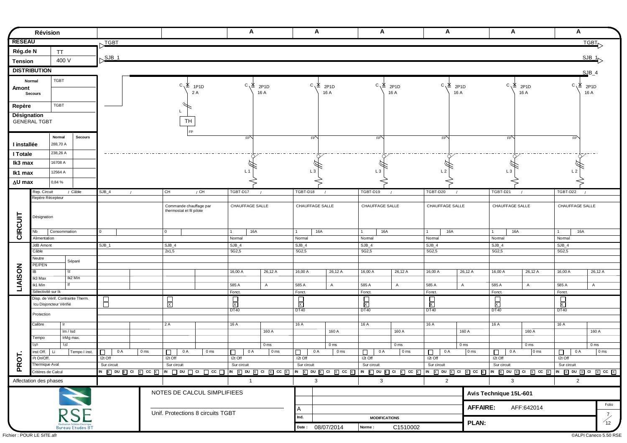|                | Révision                                   |                                   |              |                 |                                                    |                                   | A                   |                                    | A                       |                                    | A                     |                                    | A                     |                                 | A                      |                                 | A                   |                                 |
|----------------|--------------------------------------------|-----------------------------------|--------------|-----------------|----------------------------------------------------|-----------------------------------|---------------------|------------------------------------|-------------------------|------------------------------------|-----------------------|------------------------------------|-----------------------|---------------------------------|------------------------|---------------------------------|---------------------|---------------------------------|
| <b>RESEAU</b>  |                                            |                                   | TGBT         |                 |                                                    |                                   |                     |                                    |                         |                                    |                       |                                    |                       |                                 |                        |                                 |                     | <b>TGBT</b>                     |
| Rég.de N       |                                            | <b>TT</b>                         |              |                 |                                                    |                                   |                     |                                    |                         |                                    |                       |                                    |                       |                                 |                        |                                 |                     |                                 |
|                |                                            | 400 V                             | $SJB_1$      |                 |                                                    |                                   |                     |                                    |                         |                                    |                       |                                    |                       |                                 |                        |                                 |                     | $SJB_1$                         |
| <b>Tension</b> |                                            |                                   |              |                 |                                                    |                                   |                     |                                    |                         |                                    |                       |                                    |                       |                                 |                        |                                 |                     |                                 |
|                | <b>DISTRIBUTION</b>                        |                                   |              |                 |                                                    |                                   |                     |                                    |                         |                                    |                       |                                    |                       |                                 |                        |                                 |                     | $SJB_4$                         |
|                | Normal                                     | <b>TGBT</b>                       |              |                 | °∨. ≿                                              | 1P1D                              | °. ∑                | 2P <sub>1</sub> D                  | °. ∑                    | 2P <sub>1</sub> D                  | °. ∑                  | 2P <sub>1</sub> D                  | $c^{\prime}$          | 2P <sub>1</sub> D               | °. ∑                   | 2P <sub>1</sub> D               | C<br>Δ              | 2P1D                            |
| Amont          | <b>Secours</b>                             |                                   |              |                 |                                                    | 2 A                               |                     | 16 A                               |                         | 16 A                               |                       | 16 A                               |                       | 16 A                            |                        | 16 A                            |                     | 16 A                            |
|                |                                            |                                   |              |                 |                                                    |                                   |                     |                                    |                         |                                    |                       |                                    |                       |                                 |                        |                                 |                     |                                 |
| Repère         |                                            | <b>TGBT</b>                       |              |                 |                                                    |                                   |                     |                                    |                         |                                    |                       |                                    |                       |                                 |                        |                                 |                     |                                 |
| Désignation    | <b>GENERAL TGBT</b>                        |                                   |              |                 | TH                                                 |                                   |                     |                                    |                         |                                    |                       |                                    |                       |                                 |                        |                                 |                     |                                 |
|                |                                            |                                   |              |                 | EP                                                 |                                   |                     |                                    |                         |                                    |                       |                                    |                       |                                 |                        |                                 |                     |                                 |
|                |                                            | Normal<br><b>Secours</b>          |              |                 |                                                    |                                   | FP                  |                                    | EP                      |                                    | $E_{\rm b}$           |                                    | EP                    |                                 | $E_{\rm P}$            |                                 | FP <sup></sup>      |                                 |
| I installée    |                                            | 288,70 A                          |              |                 |                                                    |                                   |                     |                                    |                         |                                    |                       |                                    |                       |                                 |                        |                                 |                     |                                 |
| I Totale       |                                            | 238,26 A                          |              |                 |                                                    |                                   |                     |                                    |                         |                                    |                       |                                    |                       |                                 |                        |                                 |                     |                                 |
| Ik3 max        |                                            | 16708 A                           |              |                 |                                                    |                                   |                     |                                    |                         |                                    |                       |                                    |                       |                                 |                        |                                 |                     |                                 |
| Ik1 max        |                                            | 12564 A                           |              |                 |                                                    |                                   | L <sub>1</sub>      |                                    | L <sub>3</sub>          |                                    | L <sub>3</sub>        |                                    | L <sub>2</sub>        |                                 | L <sub>3</sub>         |                                 | L <sub>2</sub>      |                                 |
| ∆U max         |                                            | 0,84 %                            |              |                 |                                                    |                                   |                     |                                    |                         |                                    |                       |                                    |                       |                                 |                        |                                 |                     |                                 |
|                | Rep. Circuit                               | / Câble                           | $SJB_4$      | CH              |                                                    | / CH                              | TGBT-D17            | $\prime$                           | TGBT-D18                |                                    | TGBT-D19              |                                    | TGBT-D20              |                                 | TGBT-D21               |                                 | TGBT-D22            |                                 |
|                | Repère Récepteur                           |                                   |              |                 |                                                    |                                   |                     |                                    |                         |                                    |                       |                                    |                       |                                 |                        |                                 |                     |                                 |
|                |                                            |                                   |              |                 | Commande chauffage par<br>thermostat et fil pilote |                                   | CHAUFFAGE SALLE     |                                    | CHAUFFAGE SALLE         |                                    | CHAUFFAGE SALLE       |                                    | CHAUFFAGE SALLE       |                                 | CHAUFFAGE SALLE        |                                 | CHAUFFAGE SALLE     |                                 |
|                | Désignation                                |                                   |              |                 |                                                    |                                   |                     |                                    |                         |                                    |                       |                                    |                       |                                 |                        |                                 |                     |                                 |
|                |                                            |                                   |              |                 |                                                    |                                   |                     |                                    |                         |                                    |                       |                                    |                       |                                 |                        |                                 |                     |                                 |
| CIRCUIT        | Nb                                         | Consommation                      | $\Omega$     | 0               |                                                    |                                   | 16A<br>$\mathbf{1}$ |                                    | $\mathbf{1}$            | 16A                                | 16A<br>$\overline{1}$ |                                    | 16A<br>$\overline{1}$ |                                 | 16A<br>$\mathbf{1}$    |                                 | 16A<br>$\mathbf{1}$ |                                 |
|                | Alimentation<br>JdB Amont                  |                                   | $SJB_1$      |                 | $SJB_4$                                            |                                   | Normal<br>$SJB_4$   |                                    | Normal<br>$SJB_4$       |                                    | Nomal<br>$SJB_4$      |                                    | Normal<br>$SJB_4$     |                                 | Nomal<br>$SJB_4$       |                                 | Nomal<br>$SJB_4$    |                                 |
|                | Câble                                      |                                   |              |                 | 2x1,5                                              |                                   | 5G2,5               |                                    | 5G2,5                   |                                    | 5G2,5                 |                                    | 5G2,5                 |                                 | 5G2,5                  |                                 | 5G2,5               |                                 |
|                | Neutre                                     | Séparé                            |              |                 |                                                    |                                   |                     |                                    |                         |                                    |                       |                                    |                       |                                 |                        |                                 |                     |                                 |
|                | PE/PEN<br>IB                               | Iz                                |              |                 |                                                    |                                   | $16,00 \text{ Å}$   | 26,12 A                            | 16,00 A                 | 26,12 A                            | 16,00 A               | 26,12 A                            | 16,00 A               | 26,12 A                         | 16,00A                 | 26,12 A                         | 16,00 A             | 26,12 A                         |
| <b>LIAISON</b> | Ik3 Max                                    | Ik2 Min                           |              |                 |                                                    |                                   |                     |                                    |                         |                                    |                       |                                    |                       |                                 |                        |                                 |                     |                                 |
|                | Ik1 Min                                    |                                   |              |                 |                                                    |                                   | 585 A               | $\overline{A}$                     | 585 A                   | $\overline{A}$                     | 585 A                 | $\overline{A}$                     | 585 A                 | $\overline{A}$                  | 585 A                  | $\overline{A}$                  | 585 A               | $\overline{A}$                  |
|                | Sélectivité sur Ik                         | Disp. de Vérif. Contrainte Therm. |              |                 |                                                    |                                   | Fonct.              |                                    | Fonct.                  |                                    | Fonct.                |                                    | Fonct.                |                                 | Fonct.                 |                                 | Fonct.              |                                 |
|                | Icu Disjoncteur Vérifié                    |                                   | E            |                 | $\frac{1}{x}$                                      |                                   | $\frac{1}{x}$       |                                    | $\overline{\mathbb{R}}$ |                                    | $\frac{1}{x}$         |                                    | $\Box$<br>亙           |                                 | □<br>对                 |                                 | □<br>K              |                                 |
|                | Protection                                 |                                   |              |                 |                                                    |                                   | DT40                |                                    | <b>DT40</b>             |                                    | DT40                  |                                    | DT40                  |                                 | <b>DT40</b>            |                                 | DT40                |                                 |
|                | Calibre                                    | -lr                               |              | 2A              |                                                    |                                   | 16A                 |                                    | 16A                     |                                    | 16A                   |                                    | 16 A                  |                                 | 16A                    |                                 | 16A                 |                                 |
|                |                                            | Im / Isd                          |              |                 |                                                    |                                   |                     | 160 A                              |                         | 160 A                              |                       | 160 A                              |                       | 160 A                           |                        | 160 A                           |                     | 160 A                           |
|                | Tempo                                      | IrMg max.                         |              |                 |                                                    |                                   |                     |                                    |                         |                                    |                       |                                    |                       |                                 |                        |                                 |                     |                                 |
|                | l∆n                                        | l∆t                               | 0 A          | 0 <sub>ms</sub> | 0 A                                                | 0 <sub>ms</sub>                   | 0 A                 | 0 <sub>ms</sub><br>0 <sub>ms</sub> | 0 A                     | 0 <sub>ms</sub><br>0 <sub>ms</sub> |                       | 0 <sub>ms</sub><br>0 <sub>ms</sub> | 0 A                   | 0 <sub>ms</sub><br>$\vert$ 0 ms | 0 A                    | 0 <sub>ms</sub><br>$\vert$ 0 ms | 0 A                 | 0 <sub>ms</sub><br>$\vert$ 0 ms |
| 능              | inst Off.   Li<br>I <sup>2</sup> t On/Off. | Tempo I inst.                     | □<br>I2t Off |                 | □<br>I2t Off                                       |                                   | □<br>I2t Off        |                                    | $\Box$<br>I2t Off       |                                    | □<br>0 A<br>I2t Off   |                                    | □<br>I2t Off          |                                 | □<br>$I2t$ Off         |                                 | $\Box$<br>I2t Off   |                                 |
| Ř              | Thermique Aval                             |                                   | Sur circuit  |                 | Sur circuit                                        |                                   | Sur circuit         |                                    | Sur circuit             |                                    | Sur circuit           |                                    | Sur circuit           |                                 | Sur circuit            |                                 | Sur circuit         |                                 |
|                | Critères de Calcul                         |                                   |              |                 |                                                    |                                   |                     |                                    |                         |                                    |                       |                                    |                       |                                 |                        |                                 |                     |                                 |
|                | Affectation des phases                     |                                   |              |                 |                                                    |                                   | $\overline{1}$      |                                    | 3                       |                                    | 3                     |                                    | $\overline{2}$        |                                 | $\mathbf{3}$           |                                 | $\overline{2}$      |                                 |
|                |                                            |                                   |              |                 |                                                    | NOTES DE CALCUL SIMPLIFIEES       |                     |                                    |                         |                                    |                       |                                    |                       |                                 | Avis Technique 15L-601 |                                 |                     |                                 |
|                |                                            |                                   |              |                 |                                                    |                                   |                     |                                    |                         |                                    |                       |                                    |                       |                                 |                        |                                 |                     | Folio                           |
|                |                                            |                                   |              |                 |                                                    | Unif. Protections 8 circuits TGBT |                     |                                    | A                       |                                    |                       |                                    |                       | <b>AFFAIRE:</b>                 |                        | AFF:642014                      |                     |                                 |
|                |                                            | <b>RSE</b>                        |              |                 |                                                    |                                   |                     |                                    | Ind.                    |                                    | <b>MODIFICATIONS</b>  |                                    |                       |                                 |                        |                                 |                     | $\frac{7}{12}$                  |
|                |                                            | <b>Bureau Etudes BT</b>           |              |                 |                                                    |                                   |                     |                                    |                         | Date: 08/07/2014                   | Norme:                | C1510002                           |                       | PLAN:                           |                        |                                 |                     |                                 |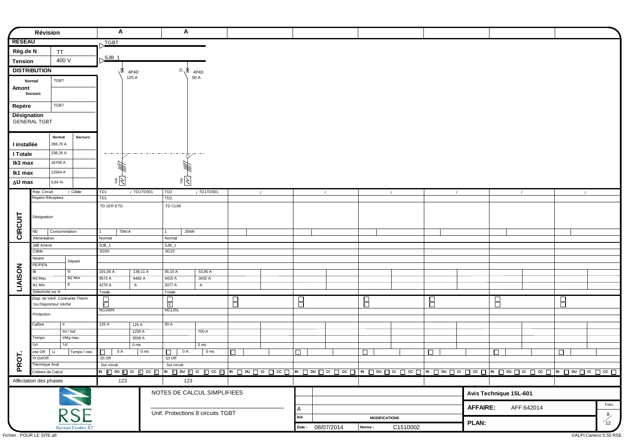|                | Révision                                       |                                      | A                   |                                    | A                        |                                    |        |            |        |            |                  |                      |            |        |                 |                        |            |            |                                         |
|----------------|------------------------------------------------|--------------------------------------|---------------------|------------------------------------|--------------------------|------------------------------------|--------|------------|--------|------------|------------------|----------------------|------------|--------|-----------------|------------------------|------------|------------|-----------------------------------------|
| <b>RESEAU</b>  |                                                |                                      | TGBT                |                                    |                          |                                    |        |            |        |            |                  |                      |            |        |                 |                        |            |            |                                         |
| Rég.de N       |                                                | <b>TT</b>                            |                     |                                    |                          |                                    |        |            |        |            |                  |                      |            |        |                 |                        |            |            |                                         |
| <b>Tension</b> |                                                | 400 V                                | SJB <sub>1</sub>    |                                    |                          |                                    |        |            |        |            |                  |                      |            |        |                 |                        |            |            |                                         |
|                | <b>DISTRIBUTION</b>                            |                                      | Δ,<br>4P4D          |                                    |                          | $D \chi \mathbb{1}_{4P4D}$         |        |            |        |            |                  |                      |            |        |                 |                        |            |            |                                         |
|                | Normal                                         | <b>TGBT</b>                          | 125 A               |                                    |                          | 50 A                               |        |            |        |            |                  |                      |            |        |                 |                        |            |            |                                         |
| Amont          |                                                |                                      |                     |                                    |                          |                                    |        |            |        |            |                  |                      |            |        |                 |                        |            |            |                                         |
|                | <b>Secours</b>                                 |                                      |                     |                                    |                          |                                    |        |            |        |            |                  |                      |            |        |                 |                        |            |            |                                         |
| Repère         |                                                | <b>TGBT</b>                          |                     |                                    |                          |                                    |        |            |        |            |                  |                      |            |        |                 |                        |            |            |                                         |
| Désignation    |                                                |                                      |                     |                                    |                          |                                    |        |            |        |            |                  |                      |            |        |                 |                        |            |            |                                         |
|                | <b>GENERAL TGBT</b>                            |                                      |                     |                                    |                          |                                    |        |            |        |            |                  |                      |            |        |                 |                        |            |            |                                         |
|                |                                                |                                      |                     |                                    |                          |                                    |        |            |        |            |                  |                      |            |        |                 |                        |            |            |                                         |
| I installée    |                                                | Normal<br><b>Secours</b><br>288,70 A |                     |                                    |                          |                                    |        |            |        |            |                  |                      |            |        |                 |                        |            |            |                                         |
|                |                                                | 238,26 A                             | -------             |                                    |                          |                                    |        |            |        |            |                  |                      |            |        |                 |                        |            |            |                                         |
| I Totale       |                                                | 16708 A                              |                     |                                    |                          |                                    |        |            |        |            |                  |                      |            |        |                 |                        |            |            |                                         |
| Ik3 max        |                                                |                                      |                     |                                    |                          |                                    |        |            |        |            |                  |                      |            |        |                 |                        |            |            |                                         |
| Ik1 max        |                                                | 12564 A                              | $\frac{1}{2}$       |                                    | $ \zeta $                |                                    |        |            |        |            |                  |                      |            |        |                 |                        |            |            |                                         |
| ∆U max         |                                                | 0,84 %                               |                     |                                    |                          |                                    |        |            |        |            |                  |                      |            |        |                 |                        |            |            |                                         |
|                | Rep. Circuit<br>Repère Récepteur               | / Câble                              | TD1<br>TD1          | / TD1TD001                         | TD <sub>2</sub><br>TD2   | / TD1TD001                         |        | $\sqrt{ }$ |        | $\sqrt{ }$ |                  |                      | $\sqrt{2}$ |        | $\sqrt{ }$      |                        | $\sqrt{ }$ | $\sqrt{2}$ |                                         |
|                |                                                |                                      | TD 1ER ETG          |                                    | TD CLIM                  |                                    |        |            |        |            |                  |                      |            |        |                 |                        |            |            |                                         |
|                | Désignation                                    |                                      |                     |                                    |                          |                                    |        |            |        |            |                  |                      |            |        |                 |                        |            |            |                                         |
|                |                                                |                                      |                     |                                    |                          |                                    |        |            |        |            |                  |                      |            |        |                 |                        |            |            |                                         |
| CIRCUIT        | Nb                                             | Consommation                         | 70kVA               |                                    | 25kW<br>$\mathbf{1}$     |                                    |        |            |        |            |                  |                      |            |        |                 |                        |            |            |                                         |
|                | Alimentation                                   |                                      | Normal              |                                    | Normal                   |                                    |        |            |        |            |                  |                      |            |        |                 |                        |            |            |                                         |
|                | JdB Amont<br>Câble                             |                                      | $SJB_1$<br>5G50     |                                    | $SJB_1$<br>5G10          |                                    |        |            |        |            |                  |                      |            |        |                 |                        |            |            |                                         |
|                | Neutre                                         | Séparé                               |                     |                                    |                          |                                    |        |            |        |            |                  |                      |            |        |                 |                        |            |            |                                         |
|                | PE/PEN                                         |                                      |                     |                                    |                          |                                    |        |            |        |            |                  |                      |            |        |                 |                        |            |            |                                         |
|                | IB<br>Ik3 Max                                  | Iz<br>Ik2 Min                        | 101,00 A<br>9572 A  | 138,11 A<br>6482 A                 | 45,10 A<br>5415 A        | 53,80 A<br>3432 A                  |        |            |        |            |                  |                      |            |        |                 |                        |            |            |                                         |
| LIAISON        | Ik1 Min                                        |                                      | 4270 A              | $\mathsf{A}$                       | 2077 A                   | $\overline{A}$                     |        |            |        |            |                  |                      |            |        |                 |                        |            |            |                                         |
|                | Sélectivité sur Ik                             |                                      | Totale              |                                    | Totale                   |                                    |        |            |        |            |                  |                      |            |        |                 |                        |            |            |                                         |
|                | Icu Disjoncteur Vérifié                        | Disp. de Vérif. Contrainte Therm.    | $\overline{\Xi}$    |                                    | $\frac{1}{x}$            |                                    | Β      |            | 8      |            |                  | Β                    |            | Β      |                 | Β                      |            | Β          |                                         |
|                | Protection                                     |                                      | <b>NG160N</b>       |                                    | <b>NG125L</b>            |                                    |        |            |        |            |                  |                      |            |        |                 |                        |            |            |                                         |
|                | Calibre                                        | Ir.                                  | 125 A               | 125 A                              | 50A                      |                                    |        |            |        |            |                  |                      |            |        |                 |                        |            |            |                                         |
|                |                                                | Im / Isd                             |                     | 1250 A                             |                          | 700 A                              |        |            |        |            |                  |                      |            |        |                 |                        |            |            |                                         |
|                | Tempo                                          | IrMg max.                            |                     | 3558 A                             |                          |                                    |        |            |        |            |                  |                      |            |        |                 |                        |            |            |                                         |
|                | l∆n                                            | l∆t                                  | 0 A                 | 0 <sub>ms</sub><br>0 <sub>ms</sub> |                          | 0 <sub>ms</sub><br>0 <sub>ms</sub> |        |            |        |            |                  |                      |            |        |                 |                        |            |            |                                         |
| 5              | $inst$ Off. $ $ Li<br>l <sup>2</sup> t On/Off. | Tempo I inst.                        | $\Box$<br>$12t$ Off |                                    | 0 A<br>$\Box$<br>I2t Off |                                    | $\Box$ |            | $\Box$ |            |                  | $\Box$               |            | $\Box$ |                 | □                      |            | $\Box$     |                                         |
| <b>P</b>       | Thermique Aval                                 |                                      | Sur circuit         |                                    | Sur circuit              |                                    |        |            |        |            |                  |                      |            |        |                 |                        |            |            |                                         |
|                | Critères de Calcul                             |                                      |                     |                                    |                          |                                    |        |            |        |            |                  |                      |            |        |                 |                        |            |            |                                         |
|                | Affectation des phases                         |                                      | 123                 |                                    | 123                      |                                    |        |            |        |            |                  |                      |            |        |                 |                        |            |            |                                         |
|                |                                                |                                      |                     |                                    |                          | NOTES DE CALCUL SIMPLIFIEES        |        |            |        |            |                  |                      |            |        |                 | Avis Technique 15L-601 |            |            |                                         |
|                |                                                |                                      |                     |                                    |                          |                                    |        |            |        |            |                  |                      |            |        |                 |                        |            |            | Folio                                   |
|                |                                                | <b>RSE</b>                           |                     |                                    |                          | Unif. Protections 8 circuits TGBT  |        |            | Α      |            |                  |                      |            |        | <b>AFFAIRE:</b> |                        | AFF:642014 |            |                                         |
|                |                                                |                                      |                     |                                    |                          |                                    |        |            | Ind.   |            |                  | <b>MODIFICATIONS</b> |            |        | PLAN:           |                        |            |            | $\begin{pmatrix} 8 \\ 12 \end{pmatrix}$ |
|                |                                                | Bureau Etudes B1                     |                     |                                    |                          |                                    |        |            |        |            | Date: 08/07/2014 | Norme:               | C1510002   |        |                 |                        |            |            |                                         |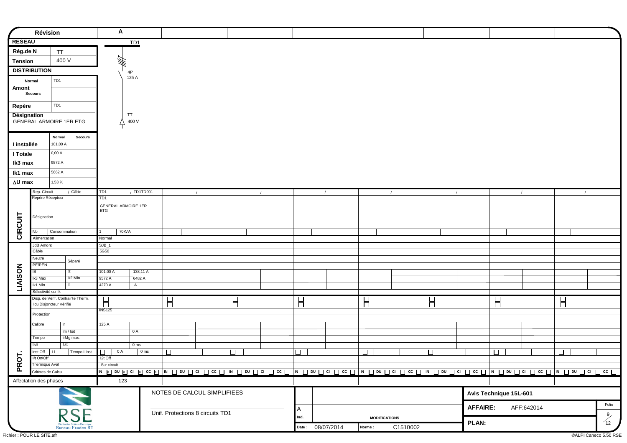|                | Révision                                   |                 |                                                   | A                                 |                 |                         |                                  |        |                                                                                                                                            |                         |                  |                      |            |                   |                 |                        |            |            |                                         |
|----------------|--------------------------------------------|-----------------|---------------------------------------------------|-----------------------------------|-----------------|-------------------------|----------------------------------|--------|--------------------------------------------------------------------------------------------------------------------------------------------|-------------------------|------------------|----------------------|------------|-------------------|-----------------|------------------------|------------|------------|-----------------------------------------|
| <b>RESEAU</b>  |                                            |                 |                                                   |                                   | TD1             |                         |                                  |        |                                                                                                                                            |                         |                  |                      |            |                   |                 |                        |            |            |                                         |
| Rég.de N       |                                            | <b>TT</b>       |                                                   |                                   |                 |                         |                                  |        |                                                                                                                                            |                         |                  |                      |            |                   |                 |                        |            |            |                                         |
| <b>Tension</b> |                                            | 400 V           |                                                   | WH.                               |                 |                         |                                  |        |                                                                                                                                            |                         |                  |                      |            |                   |                 |                        |            |            |                                         |
|                | <b>DISTRIBUTION</b>                        |                 |                                                   |                                   | 4P              |                         |                                  |        |                                                                                                                                            |                         |                  |                      |            |                   |                 |                        |            |            |                                         |
|                | Normal                                     | TD <sub>1</sub> |                                                   |                                   | 125 A           |                         |                                  |        |                                                                                                                                            |                         |                  |                      |            |                   |                 |                        |            |            |                                         |
| Amont          |                                            |                 |                                                   |                                   |                 |                         |                                  |        |                                                                                                                                            |                         |                  |                      |            |                   |                 |                        |            |            |                                         |
|                | Secours                                    |                 |                                                   |                                   |                 |                         |                                  |        |                                                                                                                                            |                         |                  |                      |            |                   |                 |                        |            |            |                                         |
| Repère         |                                            | TD <sub>1</sub> |                                                   |                                   |                 |                         |                                  |        |                                                                                                                                            |                         |                  |                      |            |                   |                 |                        |            |            |                                         |
| Désignation    |                                            |                 |                                                   |                                   | TT              |                         |                                  |        |                                                                                                                                            |                         |                  |                      |            |                   |                 |                        |            |            |                                         |
|                | GENERAL ARMOIRE 1ER ETG                    |                 |                                                   |                                   | 400 V           |                         |                                  |        |                                                                                                                                            |                         |                  |                      |            |                   |                 |                        |            |            |                                         |
|                |                                            | Normal          | <b>Secours</b>                                    |                                   |                 |                         |                                  |        |                                                                                                                                            |                         |                  |                      |            |                   |                 |                        |            |            |                                         |
| I installée    |                                            | 101,00 A        |                                                   |                                   |                 |                         |                                  |        |                                                                                                                                            |                         |                  |                      |            |                   |                 |                        |            |            |                                         |
| I Totale       |                                            | 0,00A           |                                                   |                                   |                 |                         |                                  |        |                                                                                                                                            |                         |                  |                      |            |                   |                 |                        |            |            |                                         |
| Ik3 max        |                                            | 9572 A          |                                                   |                                   |                 |                         |                                  |        |                                                                                                                                            |                         |                  |                      |            |                   |                 |                        |            |            |                                         |
| Ik1 max        |                                            | 5662 A          |                                                   |                                   |                 |                         |                                  |        |                                                                                                                                            |                         |                  |                      |            |                   |                 |                        |            |            |                                         |
| ∆U max         |                                            | 1,53 %          |                                                   |                                   |                 |                         |                                  |        |                                                                                                                                            |                         |                  |                      |            |                   |                 |                        |            |            |                                         |
|                | Rep. Circuit                               |                 | / Câble                                           | TD1                               | / TD1TD001      |                         | $\sqrt{ }$                       |        | $\sqrt{ }$                                                                                                                                 |                         | $\sqrt{ }$       |                      | $\sqrt{ }$ | $\sqrt{2}$        |                 |                        | $\sqrt{ }$ | $\sqrt{2}$ |                                         |
|                | Repère Récepteur                           |                 |                                                   | TD <sub>1</sub>                   |                 |                         |                                  |        |                                                                                                                                            |                         |                  |                      |            |                   |                 |                        |            |            |                                         |
|                |                                            |                 |                                                   | GENERAL ARMOIRE 1ER<br><b>ETG</b> |                 |                         |                                  |        |                                                                                                                                            |                         |                  |                      |            |                   |                 |                        |            |            |                                         |
|                | Désignation                                |                 |                                                   |                                   |                 |                         |                                  |        |                                                                                                                                            |                         |                  |                      |            |                   |                 |                        |            |            |                                         |
|                |                                            |                 |                                                   |                                   |                 |                         |                                  |        |                                                                                                                                            |                         |                  |                      |            |                   |                 |                        |            |            |                                         |
| CIRCUIT        | Nb<br>Alimentation                         | Consommation    |                                                   | 70kVA<br>$\mathbf{1}$<br>Normal   |                 |                         |                                  |        |                                                                                                                                            |                         |                  |                      |            |                   |                 |                        |            |            |                                         |
|                | JdB Amont                                  |                 |                                                   | $SJB_1$                           |                 |                         |                                  |        |                                                                                                                                            |                         |                  |                      |            |                   |                 |                        |            |            |                                         |
|                | Câble                                      |                 |                                                   | 5G50                              |                 |                         |                                  |        |                                                                                                                                            |                         |                  |                      |            |                   |                 |                        |            |            |                                         |
|                | Neutre<br>PE/PEN                           |                 | Séparé                                            |                                   |                 |                         |                                  |        |                                                                                                                                            |                         |                  |                      |            |                   |                 |                        |            |            |                                         |
| LIAISON        | IB                                         |                 | Iz                                                | 101,00 A                          | 138,11 A        |                         |                                  |        |                                                                                                                                            |                         |                  |                      |            |                   |                 |                        |            |            |                                         |
|                | Ik3 Max                                    |                 | Ik2 Min                                           | 9572 A                            | 6482 A          |                         |                                  |        |                                                                                                                                            |                         |                  |                      |            |                   |                 |                        |            |            |                                         |
|                | Ik1 Min<br>Sélectivité sur Ik              |                 |                                                   | 4270 A                            | $\mathsf{A}$    |                         |                                  |        |                                                                                                                                            |                         |                  |                      |            |                   |                 |                        |            |            |                                         |
|                | Disp. de Vérif. Contrainte Therm.          |                 |                                                   | $\overline{\mathsf{B}}$           |                 | $\overline{\mathsf{B}}$ |                                  | 日      |                                                                                                                                            | $\overline{\mathsf{B}}$ |                  | $\boxminus$          |            | Β                 |                 | Β                      |            | $\Box$     |                                         |
|                | Icu Disjoncteur Vérifié                    |                 |                                                   | <b>INS125</b>                     |                 |                         |                                  |        |                                                                                                                                            |                         |                  |                      |            |                   |                 |                        |            |            |                                         |
|                | Protection                                 |                 |                                                   |                                   |                 |                         |                                  |        |                                                                                                                                            |                         |                  |                      |            |                   |                 |                        |            |            |                                         |
|                | Calibre                                    | lr.             |                                                   | 125 A                             |                 |                         |                                  |        |                                                                                                                                            |                         |                  |                      |            |                   |                 |                        |            |            |                                         |
|                | Tempo                                      |                 | Im / Isd<br>IrMg max.                             |                                   | 0 A             |                         |                                  |        |                                                                                                                                            |                         |                  |                      |            |                   |                 |                        |            |            |                                         |
|                | l∆n                                        | l∆t             |                                                   |                                   | 0 <sub>ms</sub> |                         |                                  |        |                                                                                                                                            |                         |                  |                      |            |                   |                 |                        |            |            |                                         |
|                | inst Off.                                  | Li              | Tempo I inst.                                     | $\Box$<br>0 A                     | 0 <sub>ms</sub> | $\Box$                  |                                  | $\Box$ |                                                                                                                                            | $\Box$                  |                  | $\Box$               |            | $\overline{\Box}$ |                 | $\Box$                 |            | $\Box$     |                                         |
| PROT.          | I <sup>2</sup> t On/Off.<br>Thermique Aval |                 |                                                   | I2t Off<br>Sur circuit            |                 |                         |                                  |        |                                                                                                                                            |                         |                  |                      |            |                   |                 |                        |            |            |                                         |
|                | Critères de Calcul                         |                 |                                                   |                                   |                 |                         |                                  |        | <u>w ⊠ on ⊠ a ⊠ cc ⊠ w □ on □ a □ cc □ w □ on □ a □ cc □  w □ on □ a □ cc □  w □ on □ a □ cc □  w □ on □ a □ cc □  w □ on □ a □ cc □  </u> |                         |                  |                      |            |                   |                 |                        |            |            |                                         |
|                | Affectation des phases                     |                 |                                                   | 123                               |                 |                         |                                  |        |                                                                                                                                            |                         |                  |                      |            |                   |                 |                        |            |            |                                         |
|                |                                            |                 |                                                   |                                   |                 |                         | NOTES DE CALCUL SIMPLIFIEES      |        |                                                                                                                                            |                         |                  |                      |            |                   |                 | Avis Technique 15L-601 |            |            |                                         |
|                |                                            |                 |                                                   |                                   |                 |                         |                                  |        |                                                                                                                                            |                         |                  |                      |            |                   |                 |                        |            |            |                                         |
|                |                                            |                 |                                                   |                                   |                 |                         | Unif. Protections 8 circuits TD1 |        |                                                                                                                                            | A                       |                  |                      |            |                   | <b>AFFAIRE:</b> |                        | AFF:642014 |            | Folio                                   |
|                |                                            |                 | <b>RSE</b>                                        |                                   |                 |                         |                                  |        |                                                                                                                                            | Ind.                    |                  | <b>MODIFICATIONS</b> |            |                   |                 |                        |            |            | $\begin{pmatrix} 9 \\ 12 \end{pmatrix}$ |
|                |                                            |                 | Réalisation Schéma Electrique<br>Bureau Etudes BT |                                   |                 |                         |                                  |        |                                                                                                                                            |                         | Date: 08/07/2014 | Norme :              | C1510002   |                   | <b>PLAN:</b>    |                        |            |            |                                         |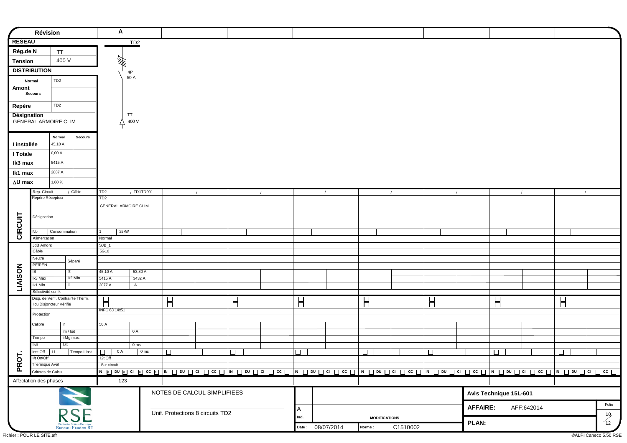|                | Révision                                       |                 |                                                   | A                       |                 |                 |             |                                  |             |                                                                                                                                                             |             |                  |                      |            |        |                 |                        |            |            |                                          |
|----------------|------------------------------------------------|-----------------|---------------------------------------------------|-------------------------|-----------------|-----------------|-------------|----------------------------------|-------------|-------------------------------------------------------------------------------------------------------------------------------------------------------------|-------------|------------------|----------------------|------------|--------|-----------------|------------------------|------------|------------|------------------------------------------|
| <b>RESEAU</b>  |                                                |                 |                                                   |                         | TD <sub>2</sub> |                 |             |                                  |             |                                                                                                                                                             |             |                  |                      |            |        |                 |                        |            |            |                                          |
| Rég.de N       |                                                | <b>TT</b>       |                                                   |                         |                 |                 |             |                                  |             |                                                                                                                                                             |             |                  |                      |            |        |                 |                        |            |            |                                          |
| <b>Tension</b> |                                                | 400 V           |                                                   | 447.                    |                 |                 |             |                                  |             |                                                                                                                                                             |             |                  |                      |            |        |                 |                        |            |            |                                          |
|                | <b>DISTRIBUTION</b>                            |                 |                                                   |                         | 4P              |                 |             |                                  |             |                                                                                                                                                             |             |                  |                      |            |        |                 |                        |            |            |                                          |
|                | Normal                                         | TD <sub>2</sub> |                                                   |                         | 50 A            |                 |             |                                  |             |                                                                                                                                                             |             |                  |                      |            |        |                 |                        |            |            |                                          |
| Amont          |                                                |                 |                                                   |                         |                 |                 |             |                                  |             |                                                                                                                                                             |             |                  |                      |            |        |                 |                        |            |            |                                          |
|                | <b>Secours</b>                                 |                 |                                                   |                         |                 |                 |             |                                  |             |                                                                                                                                                             |             |                  |                      |            |        |                 |                        |            |            |                                          |
| Repère         |                                                | TD <sub>2</sub> |                                                   |                         |                 |                 |             |                                  |             |                                                                                                                                                             |             |                  |                      |            |        |                 |                        |            |            |                                          |
| Désignation    |                                                |                 |                                                   |                         | TT              |                 |             |                                  |             |                                                                                                                                                             |             |                  |                      |            |        |                 |                        |            |            |                                          |
|                | <b>GENERAL ARMOIRE CLIM</b>                    |                 |                                                   |                         | 400 V           |                 |             |                                  |             |                                                                                                                                                             |             |                  |                      |            |        |                 |                        |            |            |                                          |
|                |                                                | Normal          | <b>Secours</b>                                    |                         |                 |                 |             |                                  |             |                                                                                                                                                             |             |                  |                      |            |        |                 |                        |            |            |                                          |
| I installée    |                                                | 45,10 A         |                                                   |                         |                 |                 |             |                                  |             |                                                                                                                                                             |             |                  |                      |            |        |                 |                        |            |            |                                          |
| I Totale       |                                                | 0,00A           |                                                   |                         |                 |                 |             |                                  |             |                                                                                                                                                             |             |                  |                      |            |        |                 |                        |            |            |                                          |
| Ik3 max        |                                                | 5415 A          |                                                   |                         |                 |                 |             |                                  |             |                                                                                                                                                             |             |                  |                      |            |        |                 |                        |            |            |                                          |
| lk1 max        |                                                | 2887 A          |                                                   |                         |                 |                 |             |                                  |             |                                                                                                                                                             |             |                  |                      |            |        |                 |                        |            |            |                                          |
| ∆U max         |                                                | 1,60%           |                                                   |                         |                 |                 |             |                                  |             |                                                                                                                                                             |             |                  |                      |            |        |                 |                        |            |            |                                          |
|                | Rep. Circuit                                   |                 | / Câble                                           | TD <sub>2</sub>         |                 | / TD1TD001      |             | $\sqrt{2}$                       |             | $\sqrt{2}$                                                                                                                                                  |             | $\sqrt{ }$       |                      | $\sqrt{ }$ |        | $\sqrt{ }$      |                        | $\sqrt{ }$ | $\sqrt{2}$ |                                          |
|                | Repère Récepteur                               |                 |                                                   | TD2                     |                 |                 |             |                                  |             |                                                                                                                                                             |             |                  |                      |            |        |                 |                        |            |            |                                          |
|                |                                                |                 |                                                   | GENERAL ARMOIRE CLIM    |                 |                 |             |                                  |             |                                                                                                                                                             |             |                  |                      |            |        |                 |                        |            |            |                                          |
|                | Désignation                                    |                 |                                                   |                         |                 |                 |             |                                  |             |                                                                                                                                                             |             |                  |                      |            |        |                 |                        |            |            |                                          |
|                |                                                |                 |                                                   |                         |                 |                 |             |                                  |             |                                                                                                                                                             |             |                  |                      |            |        |                 |                        |            |            |                                          |
| CIRCUIT        | Nb<br>Alimentation                             | Consommation    |                                                   | Normal                  | 25kW            |                 |             |                                  |             |                                                                                                                                                             |             |                  |                      |            |        |                 |                        |            |            |                                          |
|                | JdB Amont                                      |                 |                                                   | $SJB_1$                 |                 |                 |             |                                  |             |                                                                                                                                                             |             |                  |                      |            |        |                 |                        |            |            |                                          |
|                | Câble                                          |                 |                                                   | 5G10                    |                 |                 |             |                                  |             |                                                                                                                                                             |             |                  |                      |            |        |                 |                        |            |            |                                          |
|                | Neutre<br>PE/PEN                               |                 | Séparé                                            |                         |                 |                 |             |                                  |             |                                                                                                                                                             |             |                  |                      |            |        |                 |                        |            |            |                                          |
| LIAISON        | IB                                             |                 | Iz                                                | 45,10 A                 | 53,80 A         |                 |             |                                  |             |                                                                                                                                                             |             |                  |                      |            |        |                 |                        |            |            |                                          |
|                | Ik3 Max                                        |                 | Ik2 Min<br>lf                                     | 5415 A                  | 3432 A          |                 |             |                                  |             |                                                                                                                                                             |             |                  |                      |            |        |                 |                        |            |            |                                          |
|                | Ik1 Min<br>Sélectivité sur Ik                  |                 |                                                   | 2077 A                  | $\overline{A}$  |                 |             |                                  |             |                                                                                                                                                             |             |                  |                      |            |        |                 |                        |            |            |                                          |
|                |                                                |                 | Disp. de Vérif. Contrainte Therm.                 | $\overline{\mathsf{B}}$ |                 |                 | $\boxminus$ |                                  | $\boxminus$ |                                                                                                                                                             | $\boxminus$ |                  | $\boxminus$          |            | Β      |                 | Β                      |            | $\Box$     |                                          |
|                | Icu Disjoncteur Vérifié                        |                 |                                                   | INFC 63 14x51           |                 |                 |             |                                  |             |                                                                                                                                                             |             |                  |                      |            |        |                 |                        |            |            |                                          |
|                | Protection                                     |                 |                                                   |                         |                 |                 |             |                                  |             |                                                                                                                                                             |             |                  |                      |            |        |                 |                        |            |            |                                          |
|                | Calibre                                        | Ir.             |                                                   | 50 A                    |                 |                 |             |                                  |             |                                                                                                                                                             |             |                  |                      |            |        |                 |                        |            |            |                                          |
|                | Tempo                                          |                 | Im / Isd<br>IrMg max.                             |                         | 0 A             |                 |             |                                  |             |                                                                                                                                                             |             |                  |                      |            |        |                 |                        |            |            |                                          |
|                | l∆n                                            | $\mathbf{A}$ t  |                                                   |                         | 0 <sub>ms</sub> |                 |             |                                  |             |                                                                                                                                                             |             |                  |                      |            |        |                 |                        |            |            |                                          |
| $\overline{5}$ | $inst$ Off. $ $ Li<br>I <sup>2</sup> t On/Off. |                 | Tempo I inst.                                     | 0 A<br>l 0<br>I2t Off   |                 | 0 <sub>ms</sub> | $\Box$      |                                  | $\Box$      |                                                                                                                                                             | I П         |                  | $\Box$               |            | $\Box$ |                 | $\Box$                 |            | $\Box$     |                                          |
| <b>P</b>       | Thermique Aval                                 |                 |                                                   | Sur circuit             |                 |                 |             |                                  |             |                                                                                                                                                             |             |                  |                      |            |        |                 |                        |            |            |                                          |
|                | Critères de Calcul                             |                 |                                                   |                         |                 |                 |             |                                  |             | <u>w ⊠ on ⊠ a ⊠ cc ⊠ w □ on □ a □ cc □ w □ on □ a □ cc □  w □ on □ a □ cc □ lw □ on □ a □ cc □  w □ on □ a □ cc □  w □ on □ a □ cc □  w □ on □ a □ cc □</u> |             |                  |                      |            |        |                 |                        |            |            |                                          |
|                | Affectation des phases                         |                 |                                                   |                         | 123             |                 |             |                                  |             |                                                                                                                                                             |             |                  |                      |            |        |                 |                        |            |            |                                          |
|                |                                                |                 |                                                   |                         |                 |                 |             | NOTES DE CALCUL SIMPLIFIEES      |             |                                                                                                                                                             |             |                  |                      |            |        |                 | Avis Technique 15L-601 |            |            |                                          |
|                |                                                |                 |                                                   |                         |                 |                 |             |                                  |             |                                                                                                                                                             |             |                  |                      |            |        |                 |                        |            |            | Folio                                    |
|                |                                                |                 | <b>RSE</b>                                        |                         |                 |                 |             | Unif. Protections 8 circuits TD2 |             |                                                                                                                                                             | A           |                  |                      |            |        | <b>AFFAIRE:</b> |                        | AFF:642014 |            |                                          |
|                |                                                |                 |                                                   |                         |                 |                 |             |                                  |             |                                                                                                                                                             | Ind.        |                  | <b>MODIFICATIONS</b> |            |        | <b>PLAN:</b>    |                        |            |            | $\begin{pmatrix} 10 \\ 12 \end{pmatrix}$ |
|                |                                                |                 | Réalisation Schéma Electrique<br>Bureau Etudes BT |                         |                 |                 |             |                                  |             |                                                                                                                                                             |             | Date: 08/07/2014 | Norme:               | C1510002   |        |                 |                        |            |            |                                          |